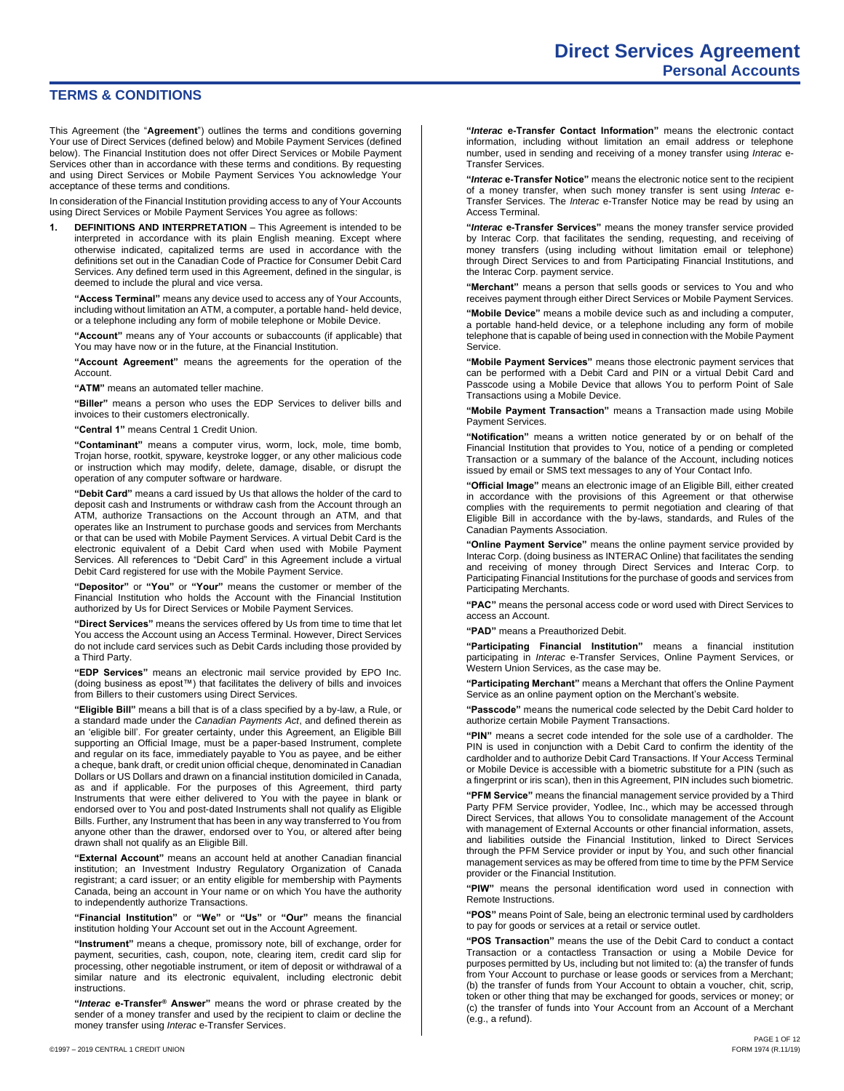## **TERMS & CONDITIONS**

This Agreement (the "**Agreement**") outlines the terms and conditions governing Your use of Direct Services (defined below) and Mobile Payment Services (defined below). The Financial Institution does not offer Direct Services or Mobile Payment Services other than in accordance with these terms and conditions. By requesting and using Direct Services or Mobile Payment Services You acknowledge Your acceptance of these terms and conditions.

In consideration of the Financial Institution providing access to any of Your Accounts using Direct Services or Mobile Payment Services You agree as follows:

**1. DEFINITIONS AND INTERPRETATION** – This Agreement is intended to be interpreted in accordance with its plain English meaning. Except where otherwise indicated, capitalized terms are used in accordance with the definitions set out in the Canadian Code of Practice for Consumer Debit Card Services. Any defined term used in this Agreement, defined in the singular, is deemed to include the plural and vice versa.

**"Access Terminal"** means any device used to access any of Your Accounts, including without limitation an ATM, a computer, a portable hand- held device, or a telephone including any form of mobile telephone or Mobile Device.

**"Account"** means any of Your accounts or subaccounts (if applicable) that You may have now or in the future, at the Financial Institution.

**"Account Agreement"** means the agreements for the operation of the Account.

**"ATM"** means an automated teller machine.

**"Biller"** means a person who uses the EDP Services to deliver bills and invoices to their customers electronically.

**"Central 1"** means Central 1 Credit Union.

**"Contaminant"** means a computer virus, worm, lock, mole, time bomb, Trojan horse, rootkit, spyware, keystroke logger, or any other malicious code or instruction which may modify, delete, damage, disable, or disrupt the operation of any computer software or hardware.

**"Debit Card"** means a card issued by Us that allows the holder of the card to deposit cash and Instruments or withdraw cash from the Account through an ATM, authorize Transactions on the Account through an ATM, and that operates like an Instrument to purchase goods and services from Merchants or that can be used with Mobile Payment Services. A virtual Debit Card is the electronic equivalent of a Debit Card when used with Mobile Payment Services. All references to "Debit Card" in this Agreement include a virtual Debit Card registered for use with the Mobile Payment Service.

**"Depositor"** or **"You"** or **"Your"** means the customer or member of the Financial Institution who holds the Account with the Financial Institution authorized by Us for Direct Services or Mobile Payment Services.

**"Direct Services"** means the services offered by Us from time to time that let You access the Account using an Access Terminal. However, Direct Services do not include card services such as Debit Cards including those provided by a Third Party.

**"EDP Services"** means an electronic mail service provided by EPO Inc. (doing business as epost™) that facilitates the delivery of bills and invoices from Billers to their customers using Direct Services.

**"Eligible Bill"** means a bill that is of a class specified by a by-law, a Rule, or a standard made under the *Canadian Payments Act*, and defined therein as an 'eligible bill'. For greater certainty, under this Agreement, an Eligible Bill supporting an Official Image, must be a paper-based Instrument, complete and regular on its face, immediately payable to You as payee, and be either a cheque, bank draft, or credit union official cheque, denominated in Canadian Dollars or US Dollars and drawn on a financial institution domiciled in Canada, as and if applicable. For the purposes of this Agreement, third party Instruments that were either delivered to You with the payee in blank or endorsed over to You and post-dated Instruments shall not qualify as Eligible Bills. Further, any Instrument that has been in any way transferred to You from anyone other than the drawer, endorsed over to You, or altered after being drawn shall not qualify as an Eligible Bill.

**"External Account"** means an account held at another Canadian financial institution; an Investment Industry Regulatory Organization of Canada registrant; a card issuer; or an entity eligible for membership with Payments Canada, being an account in Your name or on which You have the authority to independently authorize Transactions.

**"Financial Institution"** or **"We"** or **"Us"** or **"Our"** means the financial institution holding Your Account set out in the Account Agreement.

**"Instrument"** means a cheque, promissory note, bill of exchange, order for payment, securities, cash, coupon, note, clearing item, credit card slip for processing, other negotiable instrument, or item of deposit or withdrawal of a similar nature and its electronic equivalent, including electronic debit instructions.

**"***Interac* **e-Transfer® Answer"** means the word or phrase created by the sender of a money transfer and used by the recipient to claim or decline the money transfer using *Interac* e-Transfer Services.

**"***Interac* **e-Transfer Notice"** means the electronic notice sent to the recipient of a money transfer, when such money transfer is sent using *Interac* e-Transfer Services. The *Interac* e-Transfer Notice may be read by using an Access Terminal.

**"***Interac* **e-Transfer Services"** means the money transfer service provided by Interac Corp. that facilitates the sending, requesting, and receiving of money transfers (using including without limitation email or telephone) through Direct Services to and from Participating Financial Institutions, and the Interac Corp. payment service.

**"Merchant"** means a person that sells goods or services to You and who receives payment through either Direct Services or Mobile Payment Services.

**"Mobile Device"** means a mobile device such as and including a computer, a portable hand-held device, or a telephone including any form of mobile telephone that is capable of being used in connection with the Mobile Payment **Service** 

**"Mobile Payment Services"** means those electronic payment services that can be performed with a Debit Card and PIN or a virtual Debit Card and Passcode using a Mobile Device that allows You to perform Point of Sale Transactions using a Mobile Device.

**"Mobile Payment Transaction"** means a Transaction made using Mobile Payment Services.

**"Notification"** means a written notice generated by or on behalf of the Financial Institution that provides to You, notice of a pending or completed Transaction or a summary of the balance of the Account, including notices issued by email or SMS text messages to any of Your Contact Info.

**"Official Image"** means an electronic image of an Eligible Bill, either created in accordance with the provisions of this Agreement or that otherwise complies with the requirements to permit negotiation and clearing of that Eligible Bill in accordance with the by-laws, standards, and Rules of the Canadian Payments Association.

**"Online Payment Service"** means the online payment service provided by Interac Corp. (doing business as INTERAC Online) that facilitates the sending and receiving of money through Direct Services and Interac Corp. to Participating Financial Institutions for the purchase of goods and services from Participating Merchants.

**"PAC"** means the personal access code or word used with Direct Services to access an Account.

**"PAD"** means a Preauthorized Debit.

**"Participating Financial Institution"** means a financial institution participating in *Interac* e-Transfer Services, Online Payment Services, or Western Union Services, as the case may be.

**"Participating Merchant"** means a Merchant that offers the Online Payment Service as an online payment option on the Merchant's website.

**"Passcode"** means the numerical code selected by the Debit Card holder to authorize certain Mobile Payment Transactions.

**"PIN"** means a secret code intended for the sole use of a cardholder. The PIN is used in conjunction with a Debit Card to confirm the identity of the cardholder and to authorize Debit Card Transactions. If Your Access Terminal or Mobile Device is accessible with a biometric substitute for a PIN (such as a fingerprint or iris scan), then in this Agreement, PIN includes such biometric.

**"PFM Service"** means the financial management service provided by a Third Party PFM Service provider, Yodlee, Inc., which may be accessed through Direct Services, that allows You to consolidate management of the Account with management of External Accounts or other financial information, assets, and liabilities outside the Financial Institution, linked to Direct Services through the PFM Service provider or input by You, and such other financial management services as may be offered from time to time by the PFM Service provider or the Financial Institution.

**"PIW"** means the personal identification word used in connection with Remote Instructions.

**"POS"** means Point of Sale, being an electronic terminal used by cardholders to pay for goods or services at a retail or service outlet.

**"POS Transaction"** means the use of the Debit Card to conduct a contact Transaction or a contactless Transaction or using a Mobile Device for purposes permitted by Us, including but not limited to: (a) the transfer of funds from Your Account to purchase or lease goods or services from a Merchant; (b) the transfer of funds from Your Account to obtain a voucher, chit, scrip, token or other thing that may be exchanged for goods, services or money; or (c) the transfer of funds into Your Account from an Account of a Merchant (e.g., a refund).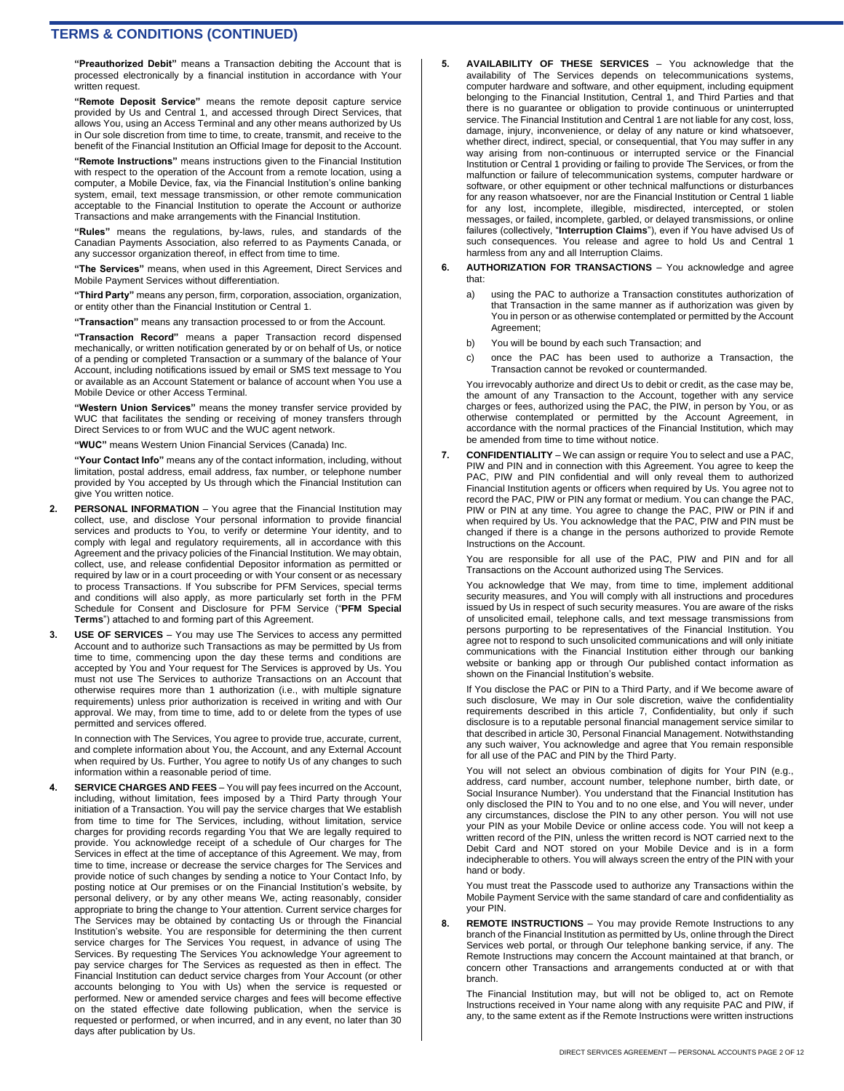**"Preauthorized Debit"** means a Transaction debiting the Account that is processed electronically by a financial institution in accordance with Your written request.

**"Remote Deposit Service"** means the remote deposit capture service provided by Us and Central 1, and accessed through Direct Services, that allows You, using an Access Terminal and any other means authorized by Us in Our sole discretion from time to time, to create, transmit, and receive to the benefit of the Financial Institution an Official Image for deposit to the Account.

**"Remote Instructions"** means instructions given to the Financial Institution with respect to the operation of the Account from a remote location, using a computer, a Mobile Device, fax, via the Financial Institution's online banking system, email, text message transmission, or other remote communication acceptable to the Financial Institution to operate the Account or authorize Transactions and make arrangements with the Financial Institution.

**"Rules"** means the regulations, by-laws, rules, and standards of the Canadian Payments Association, also referred to as Payments Canada, or any successor organization thereof, in effect from time to time.

**"The Services"** means, when used in this Agreement, Direct Services and Mobile Payment Services without differentiation.

**"Third Party"** means any person, firm, corporation, association, organization, or entity other than the Financial Institution or Central 1.

**"Transaction"** means any transaction processed to or from the Account.

**"Transaction Record"** means a paper Transaction record dispensed mechanically, or written notification generated by or on behalf of Us, or notice of a pending or completed Transaction or a summary of the balance of Your Account, including notifications issued by email or SMS text message to You or available as an Account Statement or balance of account when You use a Mobile Device or other Access Terminal.

**"Western Union Services"** means the money transfer service provided by WUC that facilitates the sending or receiving of money transfers through Direct Services to or from WUC and the WUC agent network.

**"WUC"** means Western Union Financial Services (Canada) Inc.

**"Your Contact Info"** means any of the contact information, including, without limitation, postal address, email address, fax number, or telephone number provided by You accepted by Us through which the Financial Institution can give You written notice.

- **PERSONAL INFORMATION** You agree that the Financial Institution may collect, use, and disclose Your personal information to provide financial services and products to You, to verify or determine Your identity, and to comply with legal and regulatory requirements, all in accordance with this Agreement and the privacy policies of the Financial Institution. We may obtain, collect, use, and release confidential Depositor information as permitted or required by law or in a court proceeding or with Your consent or as necessary to process Transactions. If You subscribe for PFM Services, special terms and conditions will also apply, as more particularly set forth in the PFM Schedule for Consent and Disclosure for PFM Service ("**PFM Special Terms**") attached to and forming part of this Agreement.
- **3. USE OF SERVICES**  You may use The Services to access any permitted Account and to authorize such Transactions as may be permitted by Us from time to time, commencing upon the day these terms and conditions are accepted by You and Your request for The Services is approved by Us. You must not use The Services to authorize Transactions on an Account that otherwise requires more than 1 authorization (i.e., with multiple signature requirements) unless prior authorization is received in writing and with Our approval. We may, from time to time, add to or delete from the types of use permitted and services offered.

In connection with The Services, You agree to provide true, accurate, current, and complete information about You, the Account, and any External Account when required by Us. Further, You agree to notify Us of any changes to such information within a reasonable period of time.

**4. SERVICE CHARGES AND FEES** – You will pay fees incurred on the Account, including, without limitation, fees imposed by a Third Party through Your initiation of a Transaction. You will pay the service charges that We establish from time to time for The Services, including, without limitation, service charges for providing records regarding You that We are legally required to provide. You acknowledge receipt of a schedule of Our charges for The Services in effect at the time of acceptance of this Agreement. We may, from time to time, increase or decrease the service charges for The Services and provide notice of such changes by sending a notice to Your Contact Info, by posting notice at Our premises or on the Financial Institution's website, by personal delivery, or by any other means We, acting reasonably, consider appropriate to bring the change to Your attention. Current service charges for The Services may be obtained by contacting Us or through the Financial Institution's website. You are responsible for determining the then current service charges for The Services You request, in advance of using The Services. By requesting The Services You acknowledge Your agreement to pay service charges for The Services as requested as then in effect. The Financial Institution can deduct service charges from Your Account (or other accounts belonging to You with Us) when the service is requested or performed. New or amended service charges and fees will become effective on the stated effective date following publication, when the service is requested or performed, or when incurred, and in any event, no later than 30 days after publication by Us.

- **5. AVAILABILITY OF THESE SERVICES**  You acknowledge that the availability of The Services depends on telecommunications systems, computer hardware and software, and other equipment, including equipment belonging to the Financial Institution, Central 1, and Third Parties and that there is no guarantee or obligation to provide continuous or uninterrupted service. The Financial Institution and Central 1 are not liable for any cost, loss, damage, injury, inconvenience, or delay of any nature or kind whatsoever, whether direct, indirect, special, or consequential, that You may suffer in any way arising from non-continuous or interrupted service or the Financial Institution or Central 1 providing or failing to provide The Services, or from the malfunction or failure of telecommunication systems, computer hardware or software, or other equipment or other technical malfunctions or disturbances for any reason whatsoever, nor are the Financial Institution or Central 1 liable for any lost, incomplete, illegible, misdirected, intercepted, or stolen messages, or failed, incomplete, garbled, or delayed transmissions, or online failures (collectively, "**Interruption Claims**"), even if You have advised Us of such consequences. You release and agree to hold Us and Central 1 harmless from any and all Interruption Claims.
- **6. AUTHORIZATION FOR TRANSACTIONS**  You acknowledge and agree that:
	- a) using the PAC to authorize a Transaction constitutes authorization of that Transaction in the same manner as if authorization was given by You in person or as otherwise contemplated or permitted by the Account Agreement;
	- b) You will be bound by each such Transaction; and
	- c) once the PAC has been used to authorize a Transaction, the Transaction cannot be revoked or countermanded.

You irrevocably authorize and direct Us to debit or credit, as the case may be, the amount of any Transaction to the Account, together with any service charges or fees, authorized using the PAC, the PIW, in person by You, or as otherwise contemplated or permitted by the Account Agreement, in accordance with the normal practices of the Financial Institution, which may be amended from time to time without notice.

**7. CONFIDENTIALITY** – We can assign or require You to select and use a PAC, PIW and PIN and in connection with this Agreement. You agree to keep the PAC, PIW and PIN confidential and will only reveal them to authorized Financial Institution agents or officers when required by Us. You agree not to record the PAC, PIW or PIN any format or medium. You can change the PAC, PIW or PIN at any time. You agree to change the PAC, PIW or PIN if and when required by Us. You acknowledge that the PAC, PIW and PIN must be changed if there is a change in the persons authorized to provide Remote Instructions on the Account.

You are responsible for all use of the PAC, PIW and PIN and for all Transactions on the Account authorized using The Services.

You acknowledge that We may, from time to time, implement additional security measures, and You will comply with all instructions and procedures issued by Us in respect of such security measures. You are aware of the risks of unsolicited email, telephone calls, and text message transmissions from persons purporting to be representatives of the Financial Institution. You agree not to respond to such unsolicited communications and will only initiate communications with the Financial Institution either through our banking website or banking app or through Our published contact information as shown on the Financial Institution's website.

If You disclose the PAC or PIN to a Third Party, and if We become aware of such disclosure, We may in Our sole discretion, waive the confidentiality requirements described in this article 7, Confidentiality, but only if such disclosure is to a reputable personal financial management service similar to that described in article 30, Personal Financial Management. Notwithstanding any such waiver, You acknowledge and agree that You remain responsible for all use of the PAC and PIN by the Third Party.

You will not select an obvious combination of digits for Your PIN (e.g., address, card number, account number, telephone number, birth date, or Social Insurance Number). You understand that the Financial Institution has only disclosed the PIN to You and to no one else, and You will never, under any circumstances, disclose the PIN to any other person. You will not use your PIN as your Mobile Device or online access code. You will not keep a written record of the PIN, unless the written record is NOT carried next to the Debit Card and NOT stored on your Mobile Device and is in a form indecipherable to others. You will always screen the entry of the PIN with your hand or body.

You must treat the Passcode used to authorize any Transactions within the Mobile Payment Service with the same standard of care and confidentiality as your PIN.

**8. REMOTE INSTRUCTIONS** – You may provide Remote Instructions to any branch of the Financial Institution as permitted by Us, online through the Direct Services web portal, or through Our telephone banking service, if any. The Remote Instructions may concern the Account maintained at that branch, or concern other Transactions and arrangements conducted at or with that branch.

The Financial Institution may, but will not be obliged to, act on Remote Instructions received in Your name along with any requisite PAC and PIW, if any, to the same extent as if the Remote Instructions were written instructions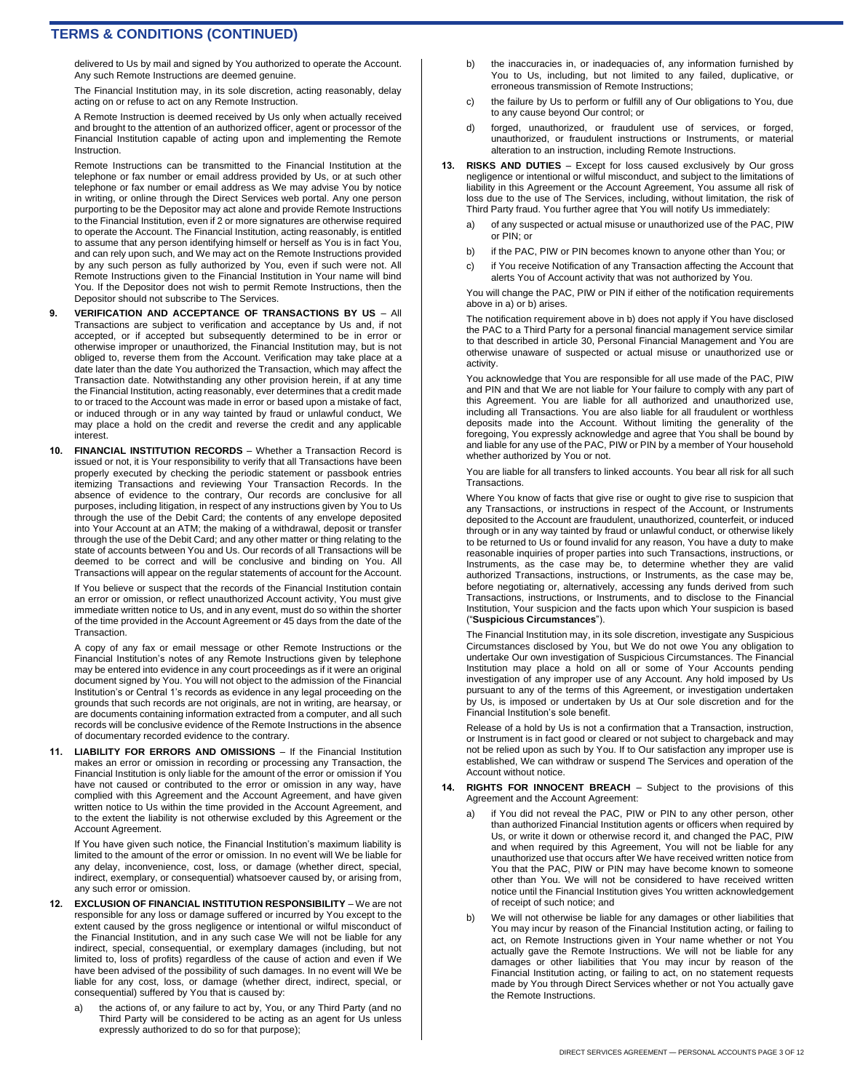delivered to Us by mail and signed by You authorized to operate the Account. Any such Remote Instructions are deemed genuine.

The Financial Institution may, in its sole discretion, acting reasonably, delay acting on or refuse to act on any Remote Instruction.

A Remote Instruction is deemed received by Us only when actually received and brought to the attention of an authorized officer, agent or processor of the Financial Institution capable of acting upon and implementing the Remote Instruction.

Remote Instructions can be transmitted to the Financial Institution at the telephone or fax number or email address provided by Us, or at such other telephone or fax number or email address as We may advise You by notice in writing, or online through the Direct Services web portal. Any one person purporting to be the Depositor may act alone and provide Remote Instructions to the Financial Institution, even if 2 or more signatures are otherwise required to operate the Account. The Financial Institution, acting reasonably, is entitled to assume that any person identifying himself or herself as You is in fact You, and can rely upon such, and We may act on the Remote Instructions provided by any such person as fully authorized by You, even if such were not. All Remote Instructions given to the Financial Institution in Your name will bind You. If the Depositor does not wish to permit Remote Instructions, then the Depositor should not subscribe to The Services.

- **9. VERIFICATION AND ACCEPTANCE OF TRANSACTIONS BY US**  All Transactions are subject to verification and acceptance by Us and, if not accepted, or if accepted but subsequently determined to be in error or otherwise improper or unauthorized, the Financial Institution may, but is not obliged to, reverse them from the Account. Verification may take place at a date later than the date You authorized the Transaction, which may affect the Transaction date. Notwithstanding any other provision herein, if at any time the Financial Institution, acting reasonably, ever determines that a credit made to or traced to the Account was made in error or based upon a mistake of fact, or induced through or in any way tainted by fraud or unlawful conduct, We may place a hold on the credit and reverse the credit and any applicable interest
- **10. FINANCIAL INSTITUTION RECORDS** Whether a Transaction Record is issued or not, it is Your responsibility to verify that all Transactions have been properly executed by checking the periodic statement or passbook entries itemizing Transactions and reviewing Your Transaction Records. In the absence of evidence to the contrary, Our records are conclusive for all purposes, including litigation, in respect of any instructions given by You to Us through the use of the Debit Card; the contents of any envelope deposited into Your Account at an ATM; the making of a withdrawal, deposit or transfer through the use of the Debit Card; and any other matter or thing relating to the state of accounts between You and Us. Our records of all Transactions will be deemed to be correct and will be conclusive and binding on You. All Transactions will appear on the regular statements of account for the Account.

If You believe or suspect that the records of the Financial Institution contain an error or omission, or reflect unauthorized Account activity, You must give immediate written notice to Us, and in any event, must do so within the shorter of the time provided in the Account Agreement or 45 days from the date of the **Transaction** 

A copy of any fax or email message or other Remote Instructions or the Financial Institution's notes of any Remote Instructions given by telephone may be entered into evidence in any court proceedings as if it were an original document signed by You. You will not object to the admission of the Financial Institution's or Central 1's records as evidence in any legal proceeding on the grounds that such records are not originals, are not in writing, are hearsay, or are documents containing information extracted from a computer, and all such records will be conclusive evidence of the Remote Instructions in the absence of documentary recorded evidence to the contrary.

**11. LIABILITY FOR ERRORS AND OMISSIONS** – If the Financial Institution makes an error or omission in recording or processing any Transaction, the Financial Institution is only liable for the amount of the error or omission if You have not caused or contributed to the error or omission in any way, have complied with this Agreement and the Account Agreement, and have given written notice to Us within the time provided in the Account Agreement, and to the extent the liability is not otherwise excluded by this Agreement or the Account Agreement.

If You have given such notice, the Financial Institution's maximum liability is limited to the amount of the error or omission. In no event will We be liable for any delay, inconvenience, cost, loss, or damage (whether direct, special, indirect, exemplary, or consequential) whatsoever caused by, or arising from, any such error or omission.

- **12. EXCLUSION OF FINANCIAL INSTITUTION RESPONSIBILITY**  We are not responsible for any loss or damage suffered or incurred by You except to the extent caused by the gross negligence or intentional or wilful misconduct of the Financial Institution, and in any such case We will not be liable for any indirect, special, consequential, or exemplary damages (including, but not limited to, loss of profits) regardless of the cause of action and even if We have been advised of the possibility of such damages. In no event will We be liable for any cost, loss, or damage (whether direct, indirect, special, or consequential) suffered by You that is caused by:
	- a) the actions of, or any failure to act by, You, or any Third Party (and no Third Party will be considered to be acting as an agent for Us unless expressly authorized to do so for that purpose);
- b) the inaccuracies in, or inadequacies of, any information furnished by You to Us, including, but not limited to any failed, duplicative, or erroneous transmission of Remote Instructions;
- c) the failure by Us to perform or fulfill any of Our obligations to You, due to any cause beyond Our control; or
- d) forged, unauthorized, or fraudulent use of services, or forged, unauthorized, or fraudulent instructions or Instruments, or material alteration to an instruction, including Remote Instructions.
- **13. RISKS AND DUTIES**  Except for loss caused exclusively by Our gross negligence or intentional or wilful misconduct, and subject to the limitations of liability in this Agreement or the Account Agreement, You assume all risk of loss due to the use of The Services, including, without limitation, the risk of Third Party fraud. You further agree that You will notify Us immediately:
	- a) of any suspected or actual misuse or unauthorized use of the PAC, PIW or PIN; or
	- b) if the PAC, PIW or PIN becomes known to anyone other than You; or
	- c) if You receive Notification of any Transaction affecting the Account that alerts You of Account activity that was not authorized by You.

You will change the PAC, PIW or PIN if either of the notification requirements above in a) or b) arises.

The notification requirement above in b) does not apply if You have disclosed the PAC to a Third Party for a personal financial management service similar to that described in article 30, Personal Financial Management and You are otherwise unaware of suspected or actual misuse or unauthorized use or activity.

You acknowledge that You are responsible for all use made of the PAC, PIW and PIN and that We are not liable for Your failure to comply with any part of this Agreement. You are liable for all authorized and unauthorized use, including all Transactions. You are also liable for all fraudulent or worthless deposits made into the Account. Without limiting the generality of the foregoing, You expressly acknowledge and agree that You shall be bound by and liable for any use of the PAC, PIW or PIN by a member of Your household whether authorized by You or not.

You are liable for all transfers to linked accounts. You bear all risk for all such **Transactions** 

Where You know of facts that give rise or ought to give rise to suspicion that any Transactions, or instructions in respect of the Account, or Instruments deposited to the Account are fraudulent, unauthorized, counterfeit, or induced through or in any way tainted by fraud or unlawful conduct, or otherwise likely to be returned to Us or found invalid for any reason, You have a duty to make reasonable inquiries of proper parties into such Transactions, instructions, or Instruments, as the case may be, to determine whether they are valid authorized Transactions, instructions, or Instruments, as the case may be, before negotiating or, alternatively, accessing any funds derived from such Transactions, instructions, or Instruments, and to disclose to the Financial Institution, Your suspicion and the facts upon which Your suspicion is based ("**Suspicious Circumstances**").

The Financial Institution may, in its sole discretion, investigate any Suspicious Circumstances disclosed by You, but We do not owe You any obligation to undertake Our own investigation of Suspicious Circumstances. The Financial Institution may place a hold on all or some of Your Accounts pending investigation of any improper use of any Account. Any hold imposed by Us pursuant to any of the terms of this Agreement, or investigation undertaken by Us, is imposed or undertaken by Us at Our sole discretion and for the Financial Institution's sole benefit.

Release of a hold by Us is not a confirmation that a Transaction, instruction, or Instrument is in fact good or cleared or not subject to chargeback and may not be relied upon as such by You. If to Our satisfaction any improper use is established, We can withdraw or suspend The Services and operation of the Account without notice.

- **14. RIGHTS FOR INNOCENT BREACH**  Subject to the provisions of this Agreement and the Account Agreement:
	- a) if You did not reveal the PAC, PIW or PIN to any other person, other than authorized Financial Institution agents or officers when required by Us, or write it down or otherwise record it, and changed the PAC, PIW and when required by this Agreement, You will not be liable for any unauthorized use that occurs after We have received written notice from You that the PAC, PIW or PIN may have become known to someone other than You. We will not be considered to have received written notice until the Financial Institution gives You written acknowledgement of receipt of such notice; and
	- b) We will not otherwise be liable for any damages or other liabilities that You may incur by reason of the Financial Institution acting, or failing to act, on Remote Instructions given in Your name whether or not You actually gave the Remote Instructions. We will not be liable for any damages or other liabilities that You may incur by reason of the Financial Institution acting, or failing to act, on no statement requests made by You through Direct Services whether or not You actually gave the Remote Instructions.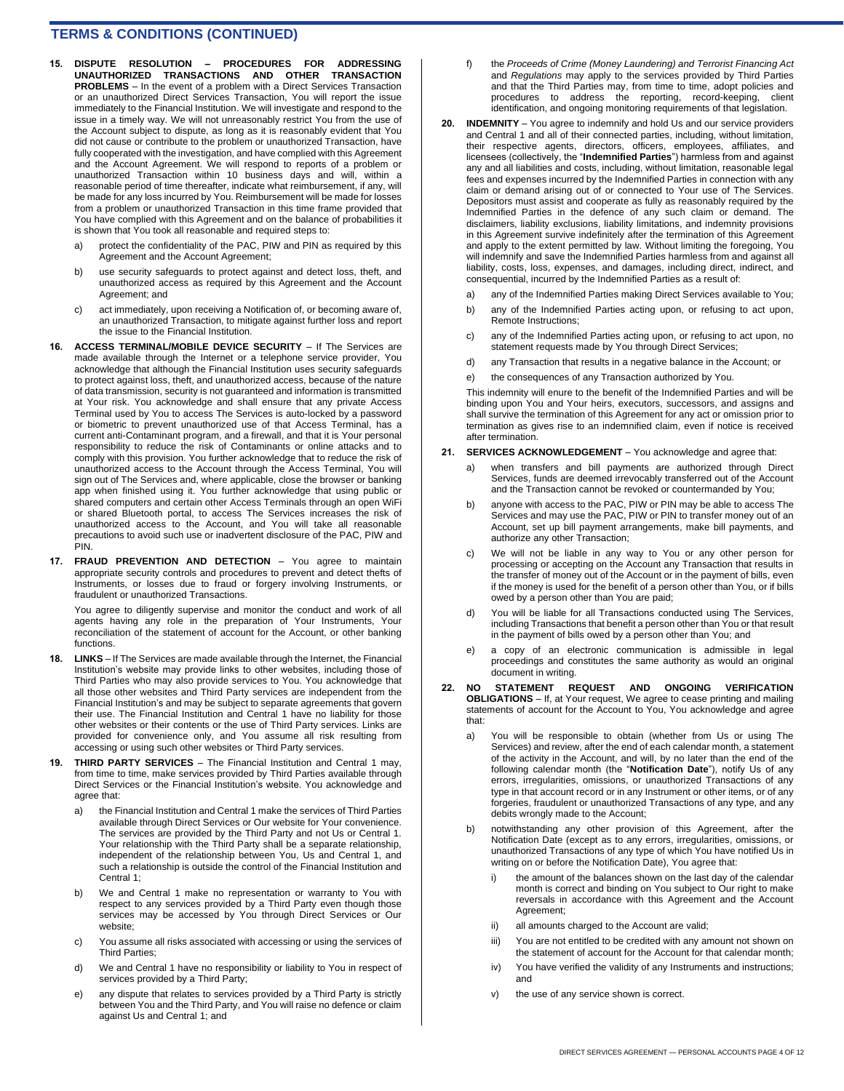- **15. DISPUTE RESOLUTION – PROCEDURES FOR ADDRESSING UNAUTHORIZED TRANSACTIONS AND OTHER TRANSACTION PROBLEMS** – In the event of a problem with a Direct Services Transaction or an unauthorized Direct Services Transaction, You will report the issue immediately to the Financial Institution. We will investigate and respond to the issue in a timely way. We will not unreasonably restrict You from the use of the Account subject to dispute, as long as it is reasonably evident that You did not cause or contribute to the problem or unauthorized Transaction, have fully cooperated with the investigation, and have complied with this Agreement and the Account Agreement. We will respond to reports of a problem or unauthorized Transaction within 10 business days and will, within a reasonable period of time thereafter, indicate what reimbursement, if any, will be made for any loss incurred by You. Reimbursement will be made for losses from a problem or unauthorized Transaction in this time frame provided that You have complied with this Agreement and on the balance of probabilities it is shown that You took all reasonable and required steps to:
	- a) protect the confidentiality of the PAC, PIW and PIN as required by this Agreement and the Account Agreement;
	- b) use security safeguards to protect against and detect loss, theft, and unauthorized access as required by this Agreement and the Account Agreement; and
	- c) act immediately, upon receiving a Notification of, or becoming aware of, an unauthorized Transaction, to mitigate against further loss and report the issue to the Financial Institution.
- **16. ACCESS TERMINAL/MOBILE DEVICE SECURITY**  If The Services are made available through the Internet or a telephone service provider, You acknowledge that although the Financial Institution uses security safeguards to protect against loss, theft, and unauthorized access, because of the nature of data transmission, security is not guaranteed and information is transmitted at Your risk. You acknowledge and shall ensure that any private Access Terminal used by You to access The Services is auto-locked by a password or biometric to prevent unauthorized use of that Access Terminal, has a current anti-Contaminant program, and a firewall, and that it is Your personal responsibility to reduce the risk of Contaminants or online attacks and to comply with this provision. You further acknowledge that to reduce the risk of unauthorized access to the Account through the Access Terminal, You will sign out of The Services and, where applicable, close the browser or banking app when finished using it. You further acknowledge that using public or shared computers and certain other Access Terminals through an open WiFi or shared Bluetooth portal, to access The Services increases the risk of unauthorized access to the Account, and You will take all reasonable precautions to avoid such use or inadvertent disclosure of the PAC, PIW and PIN.
- **17. FRAUD PREVENTION AND DETECTION**  You agree to maintain appropriate security controls and procedures to prevent and detect thefts of Instruments, or losses due to fraud or forgery involving Instruments, or fraudulent or unauthorized Transactions.

You agree to diligently supervise and monitor the conduct and work of all agents having any role in the preparation of Your Instruments, Your reconciliation of the statement of account for the Account, or other banking functions.

- **18. LINKS**  If The Services are made available through the Internet, the Financial Institution's website may provide links to other websites, including those of Third Parties who may also provide services to You. You acknowledge that all those other websites and Third Party services are independent from the Financial Institution's and may be subject to separate agreements that govern their use. The Financial Institution and Central 1 have no liability for those other websites or their contents or the use of Third Party services. Links are provided for convenience only, and You assume all risk resulting from accessing or using such other websites or Third Party services.
- **19. THIRD PARTY SERVICES**  The Financial Institution and Central 1 may, from time to time, make services provided by Third Parties available through Direct Services or the Financial Institution's website. You acknowledge and agree that:
	- a) the Financial Institution and Central 1 make the services of Third Parties available through Direct Services or Our website for Your convenience. The services are provided by the Third Party and not Us or Central 1. Your relationship with the Third Party shall be a separate relationship, independent of the relationship between You, Us and Central 1, and such a relationship is outside the control of the Financial Institution and Central 1;
	- b) We and Central 1 make no representation or warranty to You with respect to any services provided by a Third Party even though those services may be accessed by You through Direct Services or Our website;
	- c) You assume all risks associated with accessing or using the services of Third Parties;
	- d) We and Central 1 have no responsibility or liability to You in respect of services provided by a Third Party;
	- e) any dispute that relates to services provided by a Third Party is strictly between You and the Third Party, and You will raise no defence or claim against Us and Central 1; and
- f) the *Proceeds of Crime (Money Laundering) and Terrorist Financing Act* and *Regulations* may apply to the services provided by Third Parties and that the Third Parties may, from time to time, adopt policies and procedures to address the reporting, record-keeping, client identification, and ongoing monitoring requirements of that legislation.
- **20. INDEMNITY**  You agree to indemnify and hold Us and our service providers and Central 1 and all of their connected parties, including, without limitation, their respective agents, directors, officers, employees, affiliates, and licensees (collectively, the "**Indemnified Parties**") harmless from and against any and all liabilities and costs, including, without limitation, reasonable legal fees and expenses incurred by the Indemnified Parties in connection with any claim or demand arising out of or connected to Your use of The Services. Depositors must assist and cooperate as fully as reasonably required by the Indemnified Parties in the defence of any such claim or demand. The disclaimers, liability exclusions, liability limitations, and indemnity provisions in this Agreement survive indefinitely after the termination of this Agreement and apply to the extent permitted by law. Without limiting the foregoing, You will indemnify and save the Indemnified Parties harmless from and against all liability, costs, loss, expenses, and damages, including direct, indirect, and consequential, incurred by the Indemnified Parties as a result of:
	- a) any of the Indemnified Parties making Direct Services available to You;
	- b) any of the Indemnified Parties acting upon, or refusing to act upon, Remote Instructions;
	- c) any of the Indemnified Parties acting upon, or refusing to act upon, no statement requests made by You through Direct Services;
	- d) any Transaction that results in a negative balance in the Account; or
	- e) the consequences of any Transaction authorized by You.

This indemnity will enure to the benefit of the Indemnified Parties and will be binding upon You and Your heirs, executors, successors, and assigns and shall survive the termination of this Agreement for any act or omission prior to termination as gives rise to an indemnified claim, even if notice is received after termination.

- **21. SERVICES ACKNOWLEDGEMENT**  You acknowledge and agree that:
	- a) when transfers and bill payments are authorized through Direct Services, funds are deemed irrevocably transferred out of the Account and the Transaction cannot be revoked or countermanded by You;
	- anyone with access to the PAC, PIW or PIN may be able to access The Services and may use the PAC, PIW or PIN to transfer money out of an Account, set up bill payment arrangements, make bill payments, and authorize any other Transaction;
	- c) We will not be liable in any way to You or any other person for processing or accepting on the Account any Transaction that results in the transfer of money out of the Account or in the payment of bills, even if the money is used for the benefit of a person other than You, or if bills owed by a person other than You are paid;
	- d) You will be liable for all Transactions conducted using The Services, including Transactions that benefit a person other than You or that result in the payment of bills owed by a person other than You; and
	- e) a copy of an electronic communication is admissible in legal proceedings and constitutes the same authority as would an original document in writing.
- **22. NO STATEMENT REQUEST AND ONGOING VERIFICATION OBLIGATIONS** – If, at Your request, We agree to cease printing and mailing statements of account for the Account to You, You acknowledge and agree that:
	- a) You will be responsible to obtain (whether from Us or using The Services) and review, after the end of each calendar month, a statement of the activity in the Account, and will, by no later than the end of the following calendar month (the "**Notification Date**"), notify Us of any errors, irregularities, omissions, or unauthorized Transactions of any type in that account record or in any Instrument or other items, or of any forgeries, fraudulent or unauthorized Transactions of any type, and any debits wrongly made to the Account;
	- b) notwithstanding any other provision of this Agreement, after the Notification Date (except as to any errors, irregularities, omissions, or unauthorized Transactions of any type of which You have notified Us in writing on or before the Notification Date), You agree that:
		- i) the amount of the balances shown on the last day of the calendar month is correct and binding on You subject to Our right to make reversals in accordance with this Agreement and the Account Agreement;
		- ii) all amounts charged to the Account are valid;
		- iii) You are not entitled to be credited with any amount not shown on the statement of account for the Account for that calendar month;
		- iv) You have verified the validity of any Instruments and instructions; and
		- v) the use of any service shown is correct.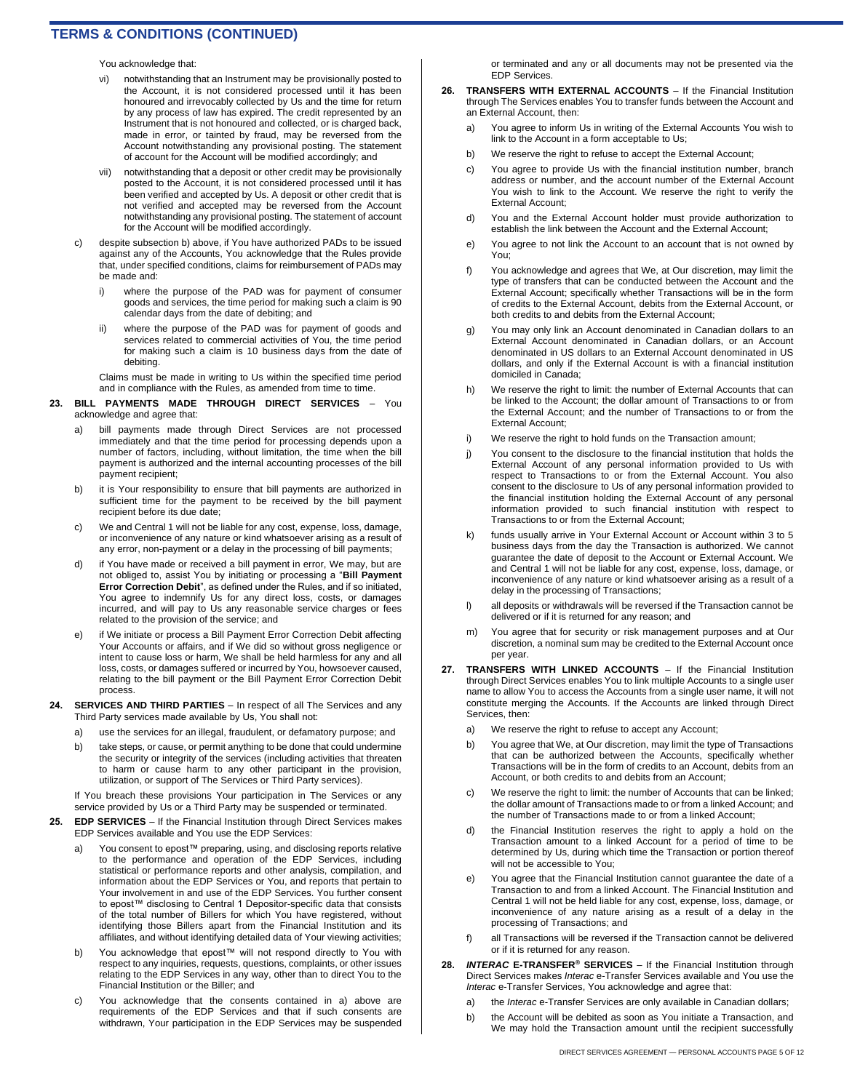You acknowledge that:

- notwithstanding that an Instrument may be provisionally posted to the Account, it is not considered processed until it has been honoured and irrevocably collected by Us and the time for return by any process of law has expired. The credit represented by an Instrument that is not honoured and collected, or is charged back, made in error, or tainted by fraud, may be reversed from the Account notwithstanding any provisional posting. The statement of account for the Account will be modified accordingly; and
- vii) notwithstanding that a deposit or other credit may be provisionally posted to the Account, it is not considered processed until it has been verified and accepted by Us. A deposit or other credit that is not verified and accepted may be reversed from the Account notwithstanding any provisional posting. The statement of account for the Account will be modified accordingly.
- despite subsection b) above, if You have authorized PADs to be issued against any of the Accounts, You acknowledge that the Rules provide that, under specified conditions, claims for reimbursement of PADs may be made and:
	- i) where the purpose of the PAD was for payment of consumer goods and services, the time period for making such a claim is 90 calendar days from the date of debiting; and
	- ii) where the purpose of the PAD was for payment of goods and services related to commercial activities of You, the time period for making such a claim is 10 business days from the date of debiting.

Claims must be made in writing to Us within the specified time period and in compliance with the Rules, as amended from time to time.

- **23. BILL PAYMENTS MADE THROUGH DIRECT SERVICES**  You acknowledge and agree that:
	- bill payments made through Direct Services are not processed immediately and that the time period for processing depends upon a number of factors, including, without limitation, the time when the bill payment is authorized and the internal accounting processes of the bill payment recipient;
	- b) it is Your responsibility to ensure that bill payments are authorized in sufficient time for the payment to be received by the bill payment recipient before its due date;
	- c) We and Central 1 will not be liable for any cost, expense, loss, damage, or inconvenience of any nature or kind whatsoever arising as a result of any error, non-payment or a delay in the processing of bill payments;
	- d) if You have made or received a bill payment in error, We may, but are not obliged to, assist You by initiating or processing a "**Bill Payment Error Correction Debit**", as defined under the Rules, and if so initiated, You agree to indemnify Us for any direct loss, costs, or damages incurred, and will pay to Us any reasonable service charges or fees related to the provision of the service; and
	- if We initiate or process a Bill Payment Error Correction Debit affecting Your Accounts or affairs, and if We did so without gross negligence or intent to cause loss or harm, We shall be held harmless for any and all loss, costs, or damages suffered or incurred by You, howsoever caused, relating to the bill payment or the Bill Payment Error Correction Debit process.
- **24. SERVICES AND THIRD PARTIES**  In respect of all The Services and any Third Party services made available by Us, You shall not:
	- a) use the services for an illegal, fraudulent, or defamatory purpose; and
	- b) take steps, or cause, or permit anything to be done that could undermine the security or integrity of the services (including activities that threaten to harm or cause harm to any other participant in the provision, utilization, or support of The Services or Third Party services).

If You breach these provisions Your participation in The Services or any service provided by Us or a Third Party may be suspended or terminated.

- **25. EDP SERVICES**  If the Financial Institution through Direct Services makes EDP Services available and You use the EDP Services:
	- a) You consent to epost™ preparing, using, and disclosing reports relative to the performance and operation of the EDP Services, including statistical or performance reports and other analysis, compilation, and information about the EDP Services or You, and reports that pertain to Your involvement in and use of the EDP Services. You further consent to epost™ disclosing to Central 1 Depositor-specific data that consists of the total number of Billers for which You have registered, without identifying those Billers apart from the Financial Institution and its affiliates, and without identifying detailed data of Your viewing activities;
	- b) You acknowledge that epost™ will not respond directly to You with respect to any inquiries, requests, questions, complaints, or other issues relating to the EDP Services in any way, other than to direct You to the Financial Institution or the Biller; and
	- c) You acknowledge that the consents contained in a) above are requirements of the EDP Services and that if such consents are withdrawn, Your participation in the EDP Services may be suspended

or terminated and any or all documents may not be presented via the EDP Services.

- **26. TRANSFERS WITH EXTERNAL ACCOUNTS**  If the Financial Institution through The Services enables You to transfer funds between the Account and an External Account, then:
	- a) You agree to inform Us in writing of the External Accounts You wish to link to the Account in a form acceptable to Us;
	- b) We reserve the right to refuse to accept the External Account;
	- c) You agree to provide Us with the financial institution number, branch address or number, and the account number of the External Account You wish to link to the Account. We reserve the right to verify the External Account;
	- d) You and the External Account holder must provide authorization to establish the link between the Account and the External Account;
	- e) You agree to not link the Account to an account that is not owned by You;
	- f) You acknowledge and agrees that We, at Our discretion, may limit the type of transfers that can be conducted between the Account and the External Account; specifically whether Transactions will be in the form of credits to the External Account, debits from the External Account, or both credits to and debits from the External Account;
	- g) You may only link an Account denominated in Canadian dollars to an External Account denominated in Canadian dollars, or an Account denominated in US dollars to an External Account denominated in US dollars, and only if the External Account is with a financial institution domiciled in Canada;
	- h) We reserve the right to limit: the number of External Accounts that can be linked to the Account; the dollar amount of Transactions to or from the External Account; and the number of Transactions to or from the External Account;
	- i) We reserve the right to hold funds on the Transaction amount;
	- j) You consent to the disclosure to the financial institution that holds the External Account of any personal information provided to Us with respect to Transactions to or from the External Account. You also consent to the disclosure to Us of any personal information provided to the financial institution holding the External Account of any personal information provided to such financial institution with respect to Transactions to or from the External Account;
	- k) funds usually arrive in Your External Account or Account within 3 to 5 business days from the day the Transaction is authorized. We cannot guarantee the date of deposit to the Account or External Account. We and Central 1 will not be liable for any cost, expense, loss, damage, or inconvenience of any nature or kind whatsoever arising as a result of a delay in the processing of Transactions;
	- l) all deposits or withdrawals will be reversed if the Transaction cannot be delivered or if it is returned for any reason; and
	- m) You agree that for security or risk management purposes and at Our discretion, a nominal sum may be credited to the External Account once per year.
- **27. TRANSFERS WITH LINKED ACCOUNTS**  If the Financial Institution through Direct Services enables You to link multiple Accounts to a single user name to allow You to access the Accounts from a single user name, it will not constitute merging the Accounts. If the Accounts are linked through Direct Services, then:
	- a) We reserve the right to refuse to accept any Account;
	- b) You agree that We, at Our discretion, may limit the type of Transactions that can be authorized between the Accounts, specifically whether Transactions will be in the form of credits to an Account, debits from an Account, or both credits to and debits from an Account;
	- c) We reserve the right to limit: the number of Accounts that can be linked; the dollar amount of Transactions made to or from a linked Account; and the number of Transactions made to or from a linked Account;
	- d) the Financial Institution reserves the right to apply a hold on the Transaction amount to a linked Account for a period of time to be determined by Us, during which time the Transaction or portion thereof will not be accessible to You;
	- e) You agree that the Financial Institution cannot guarantee the date of a Transaction to and from a linked Account. The Financial Institution and Central 1 will not be held liable for any cost, expense, loss, damage, or inconvenience of any nature arising as a result of a delay in the processing of Transactions; and
	- f) all Transactions will be reversed if the Transaction cannot be delivered or if it is returned for any reason.
- **28.** *INTERAC* **E-TRANSFER® SERVICES**  If the Financial Institution through Direct Services makes *Interac* e-Transfer Services available and You use the *Interac* e-Transfer Services, You acknowledge and agree that:
	- a) the *Interac* e-Transfer Services are only available in Canadian dollars;
	- b) the Account will be debited as soon as You initiate a Transaction, and We may hold the Transaction amount until the recipient successfully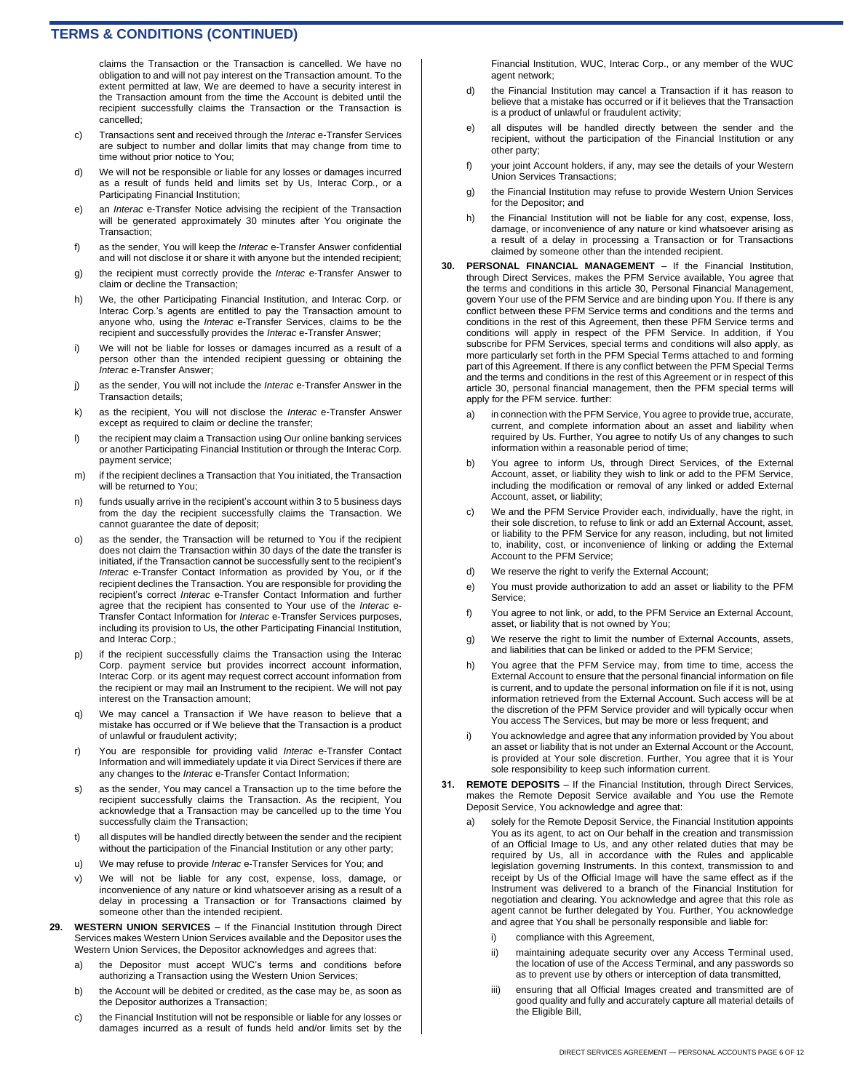claims the Transaction or the Transaction is cancelled. We have no obligation to and will not pay interest on the Transaction amount. To the extent permitted at law, We are deemed to have a security interest in the Transaction amount from the time the Account is debited until the recipient successfully claims the Transaction or the Transaction is cancelled;

- c) Transactions sent and received through the *Interac* e-Transfer Services are subject to number and dollar limits that may change from time to time without prior notice to You;
- d) We will not be responsible or liable for any losses or damages incurred as a result of funds held and limits set by Us, Interac Corp., or a Participating Financial Institution;
- e) an *Interac* e-Transfer Notice advising the recipient of the Transaction will be generated approximately 30 minutes after You originate the Transaction;
- f) as the sender, You will keep the *Interac* e-Transfer Answer confidential and will not disclose it or share it with anyone but the intended recipient;
- g) the recipient must correctly provide the *Interac* e-Transfer Answer to claim or decline the Transaction;
- h) We, the other Participating Financial Institution, and Interac Corp. or Interac Corp.'s agents are entitled to pay the Transaction amount to anyone who, using the *Interac* e-Transfer Services, claims to be the recipient and successfully provides the *Interac* e-Transfer Answer;
- i) We will not be liable for losses or damages incurred as a result of a person other than the intended recipient guessing or obtaining the *Interac* e-Transfer Answer;
- j) as the sender, You will not include the *Interac* e-Transfer Answer in the Transaction details;
- k) as the recipient, You will not disclose the *Interac* e-Transfer Answer except as required to claim or decline the transfer;
- l) the recipient may claim a Transaction using Our online banking services or another Participating Financial Institution or through the Interac Corp. payment service;
- m) if the recipient declines a Transaction that You initiated, the Transaction will be returned to You;
- n) funds usually arrive in the recipient's account within 3 to 5 business days from the day the recipient successfully claims the Transaction. We cannot guarantee the date of deposit;
- o) as the sender, the Transaction will be returned to You if the recipient does not claim the Transaction within 30 days of the date the transfer is initiated, if the Transaction cannot be successfully sent to the recipient's *Interac* e-Transfer Contact Information as provided by You, or if the recipient declines the Transaction. You are responsible for providing the recipient's correct *Interac* e-Transfer Contact Information and further agree that the recipient has consented to Your use of the *Interac* e-Transfer Contact Information for *Interac* e-Transfer Services purposes, including its provision to Us, the other Participating Financial Institution, and Interac Corp.;
- p) if the recipient successfully claims the Transaction using the Interac Corp. payment service but provides incorrect account information, Interac Corp. or its agent may request correct account information from the recipient or may mail an Instrument to the recipient. We will not pay interest on the Transaction amount;
- q) We may cancel a Transaction if We have reason to believe that a mistake has occurred or if We believe that the Transaction is a product of unlawful or fraudulent activity;
- r) You are responsible for providing valid *Interac* e-Transfer Contact Information and will immediately update it via Direct Services if there are any changes to the *Interac* e-Transfer Contact Information;
- s) as the sender, You may cancel a Transaction up to the time before the recipient successfully claims the Transaction. As the recipient, You acknowledge that a Transaction may be cancelled up to the time You successfully claim the Transaction;
- t) all disputes will be handled directly between the sender and the recipient without the participation of the Financial Institution or any other party;
- u) We may refuse to provide *Interac* e-Transfer Services for You; and
- v) We will not be liable for any cost, expense, loss, damage, or inconvenience of any nature or kind whatsoever arising as a result of a delay in processing a Transaction or for Transactions claimed by someone other than the intended recipient.
- **29. WESTERN UNION SERVICES**  If the Financial Institution through Direct Services makes Western Union Services available and the Depositor uses the Western Union Services, the Depositor acknowledges and agrees that:
	- a) the Depositor must accept WUC's terms and conditions before authorizing a Transaction using the Western Union Services;
	- b) the Account will be debited or credited, as the case may be, as soon as the Depositor authorizes a Transaction;
	- c) the Financial Institution will not be responsible or liable for any losses or damages incurred as a result of funds held and/or limits set by the

Financial Institution, WUC, Interac Corp., or any member of the WUC agent network;

- d) the Financial Institution may cancel a Transaction if it has reason to believe that a mistake has occurred or if it believes that the Transaction is a product of unlawful or fraudulent activity;
- e) all disputes will be handled directly between the sender and the recipient, without the participation of the Financial Institution or any other party;
- f) your joint Account holders, if any, may see the details of your Western Union Services Transactions;
- g) the Financial Institution may refuse to provide Western Union Services for the Depositor; and
- h) the Financial Institution will not be liable for any cost, expense, loss, damage, or inconvenience of any nature or kind whatsoever arising as a result of a delay in processing a Transaction or for Transactions claimed by someone other than the intended recipient.
- **30. PERSONAL FINANCIAL MANAGEMENT**  If the Financial Institution, through Direct Services, makes the PFM Service available, You agree that the terms and conditions in this article 30, Personal Financial Management, govern Your use of the PFM Service and are binding upon You. If there is any conflict between these PFM Service terms and conditions and the terms and conditions in the rest of this Agreement, then these PFM Service terms and conditions will apply in respect of the PFM Service. In addition, if You subscribe for PFM Services, special terms and conditions will also apply, as more particularly set forth in the PFM Special Terms attached to and forming part of this Agreement. If there is any conflict between the PFM Special Terms and the terms and conditions in the rest of this Agreement or in respect of this article 30, personal financial management, then the PFM special terms will apply for the PFM service. further:
	- a) in connection with the PFM Service, You agree to provide true, accurate, current, and complete information about an asset and liability when required by Us. Further, You agree to notify Us of any changes to such information within a reasonable period of time;
	- b) You agree to inform Us, through Direct Services, of the External Account, asset, or liability they wish to link or add to the PFM Service, including the modification or removal of any linked or added External Account, asset, or liability;
	- c) We and the PFM Service Provider each, individually, have the right, in their sole discretion, to refuse to link or add an External Account, asset, or liability to the PFM Service for any reason, including, but not limited to, inability, cost, or inconvenience of linking or adding the External Account to the PFM Service;
	- d) We reserve the right to verify the External Account;
	- e) You must provide authorization to add an asset or liability to the PFM Service;
	- f) You agree to not link, or add, to the PFM Service an External Account, asset, or liability that is not owned by You;
	- g) We reserve the right to limit the number of External Accounts, assets, and liabilities that can be linked or added to the PFM Service;
	- h) You agree that the PFM Service may, from time to time, access the External Account to ensure that the personal financial information on file is current, and to update the personal information on file if it is not, using information retrieved from the External Account. Such access will be at the discretion of the PFM Service provider and will typically occur when You access The Services, but may be more or less frequent; and
	- i) You acknowledge and agree that any information provided by You about an asset or liability that is not under an External Account or the Account, is provided at Your sole discretion. Further, You agree that it is Your sole responsibility to keep such information current.
- **31. REMOTE DEPOSITS**  If the Financial Institution, through Direct Services, makes the Remote Deposit Service available and You use the Remote Deposit Service, You acknowledge and agree that:
	- a) solely for the Remote Deposit Service, the Financial Institution appoints You as its agent, to act on Our behalf in the creation and transmission of an Official Image to Us, and any other related duties that may be required by Us, all in accordance with the Rules and applicable legislation governing Instruments. In this context, transmission to and receipt by Us of the Official Image will have the same effect as if the Instrument was delivered to a branch of the Financial Institution for negotiation and clearing. You acknowledge and agree that this role as agent cannot be further delegated by You. Further, You acknowledge and agree that You shall be personally responsible and liable for:
		- compliance with this Agreement,
		- maintaining adequate security over any Access Terminal used, the location of use of the Access Terminal, and any passwords so as to prevent use by others or interception of data transmitted,
		- iii) ensuring that all Official Images created and transmitted are of good quality and fully and accurately capture all material details of the Eligible Bill,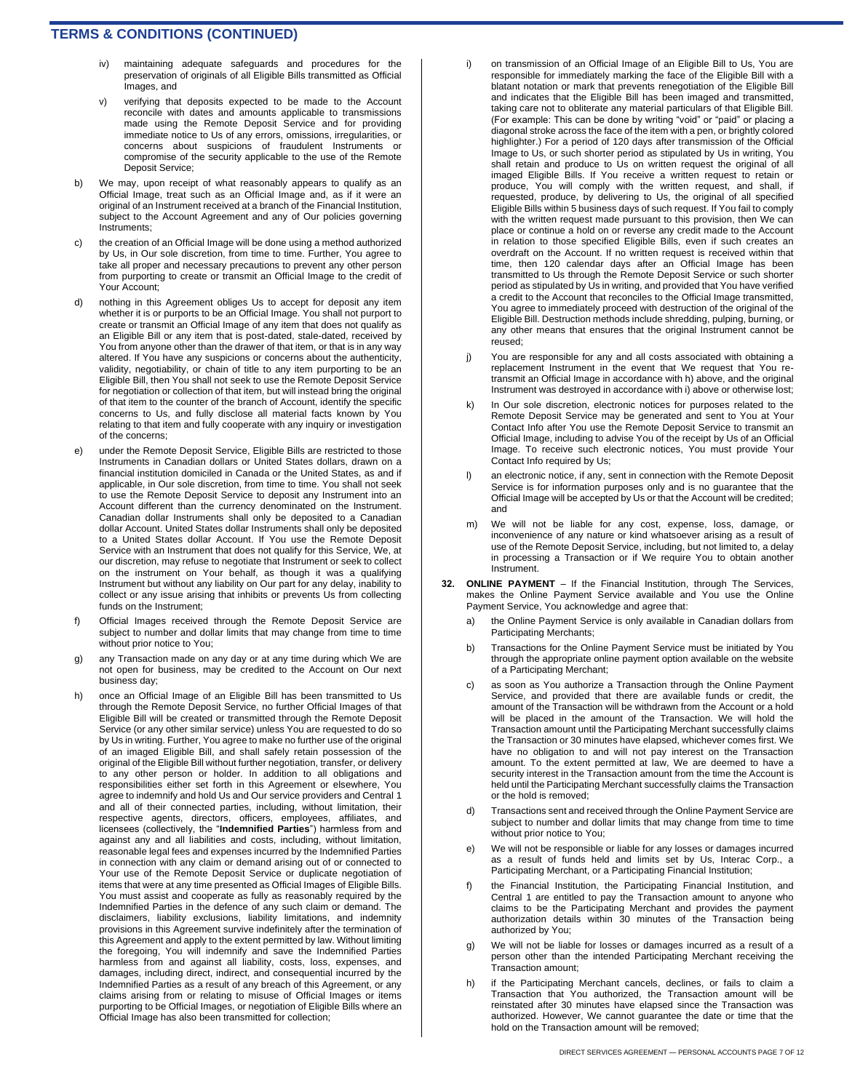- iv) maintaining adequate safeguards and procedures for the preservation of originals of all Eligible Bills transmitted as Official Images, and
- v) verifying that deposits expected to be made to the Account reconcile with dates and amounts applicable to transmissions made using the Remote Deposit Service and for providing immediate notice to Us of any errors, omissions, irregularities, or concerns about suspicions of fraudulent Instruments or compromise of the security applicable to the use of the Remote Deposit Service;
- b) We may, upon receipt of what reasonably appears to qualify as an Official Image, treat such as an Official Image and, as if it were an original of an Instrument received at a branch of the Financial Institution, subject to the Account Agreement and any of Our policies governing Instruments;
- the creation of an Official Image will be done using a method authorized by Us, in Our sole discretion, from time to time. Further, You agree to take all proper and necessary precautions to prevent any other person from purporting to create or transmit an Official Image to the credit of Your Account;
- d) nothing in this Agreement obliges Us to accept for deposit any item whether it is or purports to be an Official Image. You shall not purport to create or transmit an Official Image of any item that does not qualify as an Eligible Bill or any item that is post-dated, stale-dated, received by You from anyone other than the drawer of that item, or that is in any way altered. If You have any suspicions or concerns about the authenticity, validity, negotiability, or chain of title to any item purporting to be an Eligible Bill, then You shall not seek to use the Remote Deposit Service for negotiation or collection of that item, but will instead bring the original of that item to the counter of the branch of Account, identify the specific concerns to Us, and fully disclose all material facts known by You relating to that item and fully cooperate with any inquiry or investigation of the concerns;
- e) under the Remote Deposit Service, Eligible Bills are restricted to those Instruments in Canadian dollars or United States dollars, drawn on a financial institution domiciled in Canada or the United States, as and if applicable, in Our sole discretion, from time to time. You shall not seek to use the Remote Deposit Service to deposit any Instrument into an Account different than the currency denominated on the Instrument. Canadian dollar Instruments shall only be deposited to a Canadian dollar Account. United States dollar Instruments shall only be deposited to a United States dollar Account. If You use the Remote Deposit Service with an Instrument that does not qualify for this Service, We, at our discretion, may refuse to negotiate that Instrument or seek to collect on the instrument on Your behalf, as though it was a qualifying Instrument but without any liability on Our part for any delay, inability to collect or any issue arising that inhibits or prevents Us from collecting funds on the Instrument;
- f) Official Images received through the Remote Deposit Service are subject to number and dollar limits that may change from time to time without prior notice to You;
- g) any Transaction made on any day or at any time during which We are not open for business, may be credited to the Account on Our next business day;
- h) once an Official Image of an Eligible Bill has been transmitted to Us through the Remote Deposit Service, no further Official Images of that Eligible Bill will be created or transmitted through the Remote Deposit Service (or any other similar service) unless You are requested to do so by Us in writing. Further, You agree to make no further use of the original of an imaged Eligible Bill, and shall safely retain possession of the original of the Eligible Bill without further negotiation, transfer, or delivery to any other person or holder. In addition to all obligations and responsibilities either set forth in this Agreement or elsewhere, You agree to indemnify and hold Us and Our service providers and Central 1 and all of their connected parties, including, without limitation, their respective agents, directors, officers, employees, affiliates, and licensees (collectively, the "**Indemnified Parties**") harmless from and against any and all liabilities and costs, including, without limitation, reasonable legal fees and expenses incurred by the Indemnified Parties in connection with any claim or demand arising out of or connected to Your use of the Remote Deposit Service or duplicate negotiation of items that were at any time presented as Official Images of Eligible Bills. You must assist and cooperate as fully as reasonably required by the Indemnified Parties in the defence of any such claim or demand. The disclaimers, liability exclusions, liability limitations, and indemnity provisions in this Agreement survive indefinitely after the termination of this Agreement and apply to the extent permitted by law. Without limiting the foregoing, You will indemnify and save the Indemnified Parties harmless from and against all liability, costs, loss, expenses, and damages, including direct, indirect, and consequential incurred by the Indemnified Parties as a result of any breach of this Agreement, or any claims arising from or relating to misuse of Official Images or items purporting to be Official Images, or negotiation of Eligible Bills where an Official Image has also been transmitted for collection;
- i) on transmission of an Official Image of an Eligible Bill to Us, You are responsible for immediately marking the face of the Eligible Bill with a blatant notation or mark that prevents renegotiation of the Eligible Bill and indicates that the Eligible Bill has been imaged and transmitted, taking care not to obliterate any material particulars of that Eligible Bill. (For example: This can be done by writing "void" or "paid" or placing a diagonal stroke across the face of the item with a pen, or brightly colored highlighter.) For a period of 120 days after transmission of the Official Image to Us, or such shorter period as stipulated by Us in writing, You shall retain and produce to Us on written request the original of all imaged Eligible Bills. If You receive a written request to retain or produce, You will comply with the written request, and shall, if requested, produce, by delivering to Us, the original of all specified Eligible Bills within 5 business days of such request. If You fail to comply with the written request made pursuant to this provision, then We can place or continue a hold on or reverse any credit made to the Account in relation to those specified Eligible Bills, even if such creates an overdraft on the Account. If no written request is received within that time, then 120 calendar days after an Official Image has been transmitted to Us through the Remote Deposit Service or such shorter period as stipulated by Us in writing, and provided that You have verified a credit to the Account that reconciles to the Official Image transmitted, You agree to immediately proceed with destruction of the original of the Eligible Bill. Destruction methods include shredding, pulping, burning, or any other means that ensures that the original Instrument cannot be reused;
- j) You are responsible for any and all costs associated with obtaining a replacement Instrument in the event that We request that You retransmit an Official Image in accordance with h) above, and the original Instrument was destroyed in accordance with i) above or otherwise lost;
- k) In Our sole discretion, electronic notices for purposes related to the Remote Deposit Service may be generated and sent to You at Your Contact Info after You use the Remote Deposit Service to transmit an Official Image, including to advise You of the receipt by Us of an Official Image. To receive such electronic notices, You must provide Your Contact Info required by Us;
- l) an electronic notice, if any, sent in connection with the Remote Deposit Service is for information purposes only and is no guarantee that the Official Image will be accepted by Us or that the Account will be credited; and
- m) We will not be liable for any cost, expense, loss, damage, or inconvenience of any nature or kind whatsoever arising as a result of use of the Remote Deposit Service, including, but not limited to, a delay in processing a Transaction or if We require You to obtain another Instrument.
- **32. ONLINE PAYMENT**  If the Financial Institution, through The Services, makes the Online Payment Service available and You use the Online Payment Service, You acknowledge and agree that:
	- a) the Online Payment Service is only available in Canadian dollars from Participating Merchants;
	- b) Transactions for the Online Payment Service must be initiated by You through the appropriate online payment option available on the website of a Participating Merchant;
	- c) as soon as You authorize a Transaction through the Online Payment Service, and provided that there are available funds or credit, the amount of the Transaction will be withdrawn from the Account or a hold will be placed in the amount of the Transaction. We will hold the Transaction amount until the Participating Merchant successfully claims the Transaction or 30 minutes have elapsed, whichever comes first. We have no obligation to and will not pay interest on the Transaction amount. To the extent permitted at law, We are deemed to have a security interest in the Transaction amount from the time the Account is held until the Participating Merchant successfully claims the Transaction or the hold is removed;
	- Transactions sent and received through the Online Payment Service are subject to number and dollar limits that may change from time to time without prior notice to You;
	- e) We will not be responsible or liable for any losses or damages incurred as a result of funds held and limits set by Us, Interac Corp., a Participating Merchant, or a Participating Financial Institution;
	- f) the Financial Institution, the Participating Financial Institution, and Central 1 are entitled to pay the Transaction amount to anyone who claims to be the Participating Merchant and provides the payment authorization details within 30 minutes of the Transaction being authorized by You;
	- g) We will not be liable for losses or damages incurred as a result of a person other than the intended Participating Merchant receiving the Transaction amount;
	- h) if the Participating Merchant cancels, declines, or fails to claim a Transaction that You authorized, the Transaction amount will be reinstated after 30 minutes have elapsed since the Transaction was authorized. However, We cannot guarantee the date or time that the hold on the Transaction amount will be removed;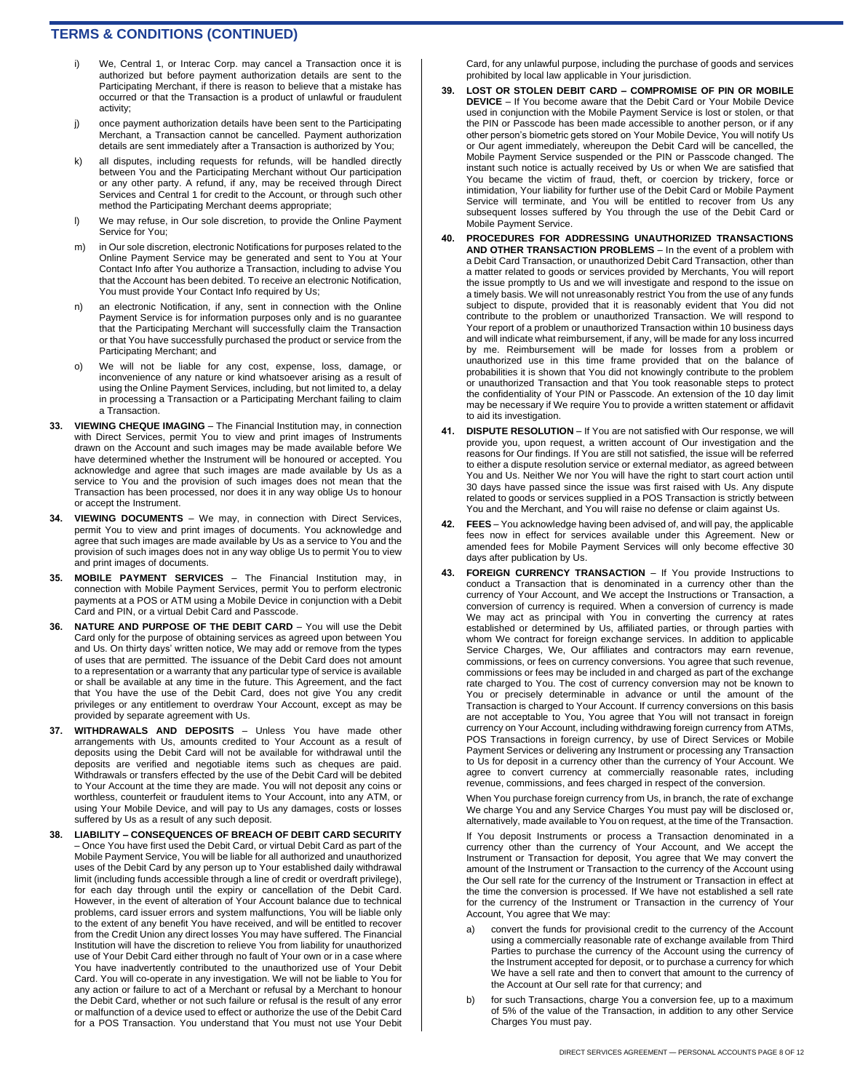- i) We, Central 1, or Interac Corp. may cancel a Transaction once it is authorized but before payment authorization details are sent to the Participating Merchant, if there is reason to believe that a mistake has occurred or that the Transaction is a product of unlawful or fraudulent activity;
- j) once payment authorization details have been sent to the Participating Merchant, a Transaction cannot be cancelled. Payment authorization details are sent immediately after a Transaction is authorized by You;
- k) all disputes, including requests for refunds, will be handled directly between You and the Participating Merchant without Our participation or any other party. A refund, if any, may be received through Direct Services and Central 1 for credit to the Account, or through such other method the Participating Merchant deems appropriate;
- l) We may refuse, in Our sole discretion, to provide the Online Payment Service for You;
- m) in Our sole discretion, electronic Notifications for purposes related to the Online Payment Service may be generated and sent to You at Your Contact Info after You authorize a Transaction, including to advise You that the Account has been debited. To receive an electronic Notification, You must provide Your Contact Info required by Us;
- n) an electronic Notification, if any, sent in connection with the Online Payment Service is for information purposes only and is no guarantee that the Participating Merchant will successfully claim the Transaction or that You have successfully purchased the product or service from the Participating Merchant; and
- o) We will not be liable for any cost, expense, loss, damage, or inconvenience of any nature or kind whatsoever arising as a result of using the Online Payment Services, including, but not limited to, a delay in processing a Transaction or a Participating Merchant failing to claim a Transaction.
- **33. VIEWING CHEQUE IMAGING**  The Financial Institution may, in connection with Direct Services, permit You to view and print images of Instruments drawn on the Account and such images may be made available before We have determined whether the Instrument will be honoured or accepted. You acknowledge and agree that such images are made available by Us as a service to You and the provision of such images does not mean that the Transaction has been processed, nor does it in any way oblige Us to honour or accept the Instrument.
- **34. VIEWING DOCUMENTS**  We may, in connection with Direct Services, permit You to view and print images of documents. You acknowledge and agree that such images are made available by Us as a service to You and the provision of such images does not in any way oblige Us to permit You to view and print images of documents.
- **35. MOBILE PAYMENT SERVICES**  The Financial Institution may, in connection with Mobile Payment Services, permit You to perform electronic payments at a POS or ATM using a Mobile Device in conjunction with a Debit .<br>Card and PIN, or a virtual Debit Card and Passcode.
- **36. NATURE AND PURPOSE OF THE DEBIT CARD**  You will use the Debit Card only for the purpose of obtaining services as agreed upon between You and Us. On thirty days' written notice, We may add or remove from the types of uses that are permitted. The issuance of the Debit Card does not amount to a representation or a warranty that any particular type of service is available or shall be available at any time in the future. This Agreement, and the fact that You have the use of the Debit Card, does not give You any credit privileges or any entitlement to overdraw Your Account, except as may be provided by separate agreement with Us.
- **37. WITHDRAWALS AND DEPOSITS**  Unless You have made other arrangements with Us, amounts credited to Your Account as a result of deposits using the Debit Card will not be available for withdrawal until the deposits are verified and negotiable items such as cheques are paid. Withdrawals or transfers effected by the use of the Debit Card will be debited to Your Account at the time they are made. You will not deposit any coins or worthless, counterfeit or fraudulent items to Your Account, into any ATM, or using Your Mobile Device, and will pay to Us any damages, costs or losses suffered by Us as a result of any such deposit.
- **38. LIABILITY – CONSEQUENCES OF BREACH OF DEBIT CARD SECURITY**  – Once You have first used the Debit Card, or virtual Debit Card as part of the Mobile Payment Service, You will be liable for all authorized and unauthorized uses of the Debit Card by any person up to Your established daily withdrawal limit (including funds accessible through a line of credit or overdraft privilege), for each day through until the expiry or cancellation of the Debit Card. However, in the event of alteration of Your Account balance due to technical problems, card issuer errors and system malfunctions, You will be liable only to the extent of any benefit You have received, and will be entitled to recover from the Credit Union any direct losses You may have suffered. The Financial Institution will have the discretion to relieve You from liability for unauthorized use of Your Debit Card either through no fault of Your own or in a case where You have inadvertently contributed to the unauthorized use of Your Debit Card. You will co-operate in any investigation. We will not be liable to You for any action or failure to act of a Merchant or refusal by a Merchant to honour the Debit Card, whether or not such failure or refusal is the result of any error or malfunction of a device used to effect or authorize the use of the Debit Card for a POS Transaction. You understand that You must not use Your Debit

Card, for any unlawful purpose, including the purchase of goods and services prohibited by local law applicable in Your jurisdiction.

- **39. LOST OR STOLEN DEBIT CARD – COMPROMISE OF PIN OR MOBILE DEVICE** – If You become aware that the Debit Card or Your Mobile Device used in conjunction with the Mobile Payment Service is lost or stolen, or that the PIN or Passcode has been made accessible to another person, or if any other person's biometric gets stored on Your Mobile Device, You will notify Us or Our agent immediately, whereupon the Debit Card will be cancelled, the Mobile Payment Service suspended or the PIN or Passcode changed. The instant such notice is actually received by Us or when We are satisfied that You became the victim of fraud, theft, or coercion by trickery, force or intimidation, Your liability for further use of the Debit Card or Mobile Payment Service will terminate, and You will be entitled to recover from Us any subsequent losses suffered by You through the use of the Debit Card or Mobile Payment Service.
- **40. PROCEDURES FOR ADDRESSING UNAUTHORIZED TRANSACTIONS AND OTHER TRANSACTION PROBLEMS** – In the event of a problem with a Debit Card Transaction, or unauthorized Debit Card Transaction, other than a matter related to goods or services provided by Merchants, You will report the issue promptly to Us and we will investigate and respond to the issue on a timely basis. We will not unreasonably restrict You from the use of any funds subject to dispute, provided that it is reasonably evident that You did not contribute to the problem or unauthorized Transaction. We will respond to Your report of a problem or unauthorized Transaction within 10 business days and will indicate what reimbursement, if any, will be made for any loss incurred by me. Reimbursement will be made for losses from a problem or unauthorized use in this time frame provided that on the balance of probabilities it is shown that You did not knowingly contribute to the problem or unauthorized Transaction and that You took reasonable steps to protect the confidentiality of Your PIN or Passcode. An extension of the 10 day limit may be necessary if We require You to provide a written statement or affidavit to aid its investigation.
- **41. DISPUTE RESOLUTION**  If You are not satisfied with Our response, we will provide you, upon request, a written account of Our investigation and the reasons for Our findings. If You are still not satisfied, the issue will be referred to either a dispute resolution service or external mediator, as agreed between You and Us. Neither We nor You will have the right to start court action until 30 days have passed since the issue was first raised with Us. Any dispute related to goods or services supplied in a POS Transaction is strictly between You and the Merchant, and You will raise no defense or claim against Us.
- **42. FEES**  You acknowledge having been advised of, and will pay, the applicable fees now in effect for services available under this Agreement. New or amended fees for Mobile Payment Services will only become effective 30 days after publication by Us.
- **43. FOREIGN CURRENCY TRANSACTION**  If You provide Instructions to conduct a Transaction that is denominated in a currency other than the currency of Your Account, and We accept the Instructions or Transaction, a conversion of currency is required. When a conversion of currency is made We may act as principal with You in converting the currency at rates established or determined by Us, affiliated parties, or through parties with whom We contract for foreign exchange services. In addition to applicable Service Charges, We, Our affiliates and contractors may earn revenue, commissions, or fees on currency conversions. You agree that such revenue, commissions or fees may be included in and charged as part of the exchange rate charged to You. The cost of currency conversion may not be known to You or precisely determinable in advance or until the amount of the Transaction is charged to Your Account. If currency conversions on this basis are not acceptable to You, You agree that You will not transact in foreign currency on Your Account, including withdrawing foreign currency from ATMs, POS Transactions in foreign currency, by use of Direct Services or Mobile Payment Services or delivering any Instrument or processing any Transaction to Us for deposit in a currency other than the currency of Your Account. We agree to convert currency at commercially reasonable rates, including revenue, commissions, and fees charged in respect of the conversion.

When You purchase foreign currency from Us, in branch, the rate of exchange We charge You and any Service Charges You must pay will be disclosed or, alternatively, made available to You on request, at the time of the Transaction.

If You deposit Instruments or process a Transaction denominated in a currency other than the currency of Your Account, and We accept the Instrument or Transaction for deposit, You agree that We may convert the amount of the Instrument or Transaction to the currency of the Account using the Our sell rate for the currency of the Instrument or Transaction in effect at the time the conversion is processed. If We have not established a sell rate for the currency of the Instrument or Transaction in the currency of Your Account, You agree that We may:

- convert the funds for provisional credit to the currency of the Account using a commercially reasonable rate of exchange available from Third Parties to purchase the currency of the Account using the currency of the Instrument accepted for deposit, or to purchase a currency for which We have a sell rate and then to convert that amount to the currency of the Account at Our sell rate for that currency; and
- b) for such Transactions, charge You a conversion fee, up to a maximum of 5% of the value of the Transaction, in addition to any other Service Charges You must pay.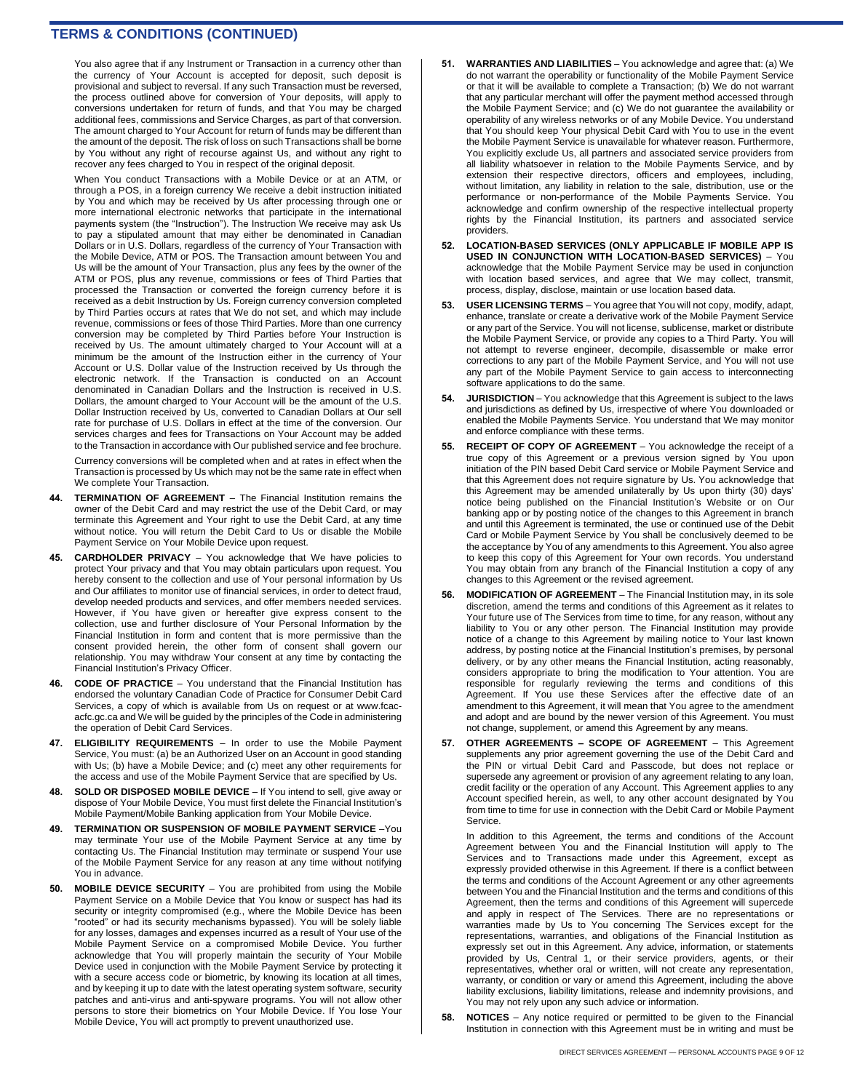You also agree that if any Instrument or Transaction in a currency other than the currency of Your Account is accepted for deposit, such deposit is provisional and subject to reversal. If any such Transaction must be reversed, the process outlined above for conversion of Your deposits, will apply to conversions undertaken for return of funds, and that You may be charged additional fees, commissions and Service Charges, as part of that conversion. The amount charged to Your Account for return of funds may be different than the amount of the deposit. The risk of loss on such Transactions shall be borne by You without any right of recourse against Us, and without any right to recover any fees charged to You in respect of the original deposit.

When You conduct Transactions with a Mobile Device or at an ATM, or through a POS, in a foreign currency We receive a debit instruction initiated by You and which may be received by Us after processing through one or more international electronic networks that participate in the international payments system (the "Instruction"). The Instruction We receive may ask Us to pay a stipulated amount that may either be denominated in Canadian Dollars or in U.S. Dollars, regardless of the currency of Your Transaction with the Mobile Device, ATM or POS. The Transaction amount between You and Us will be the amount of Your Transaction, plus any fees by the owner of the ATM or POS, plus any revenue, commissions or fees of Third Parties that processed the Transaction or converted the foreign currency before it is received as a debit Instruction by Us. Foreign currency conversion completed by Third Parties occurs at rates that We do not set, and which may include revenue, commissions or fees of those Third Parties. More than one currency conversion may be completed by Third Parties before Your Instruction is received by Us. The amount ultimately charged to Your Account will at a minimum be the amount of the Instruction either in the currency of Your Account or U.S. Dollar value of the Instruction received by Us through the electronic network. If the Transaction is conducted on an Account denominated in Canadian Dollars and the Instruction is received in U.S. Dollars, the amount charged to Your Account will be the amount of the U.S. Dollar Instruction received by Us, converted to Canadian Dollars at Our sell rate for purchase of U.S. Dollars in effect at the time of the conversion. Our services charges and fees for Transactions on Your Account may be added to the Transaction in accordance with Our published service and fee brochure.

Currency conversions will be completed when and at rates in effect when the Transaction is processed by Us which may not be the same rate in effect when We complete Your Transaction.

- **44. TERMINATION OF AGREEMENT**  The Financial Institution remains the owner of the Debit Card and may restrict the use of the Debit Card, or may terminate this Agreement and Your right to use the Debit Card, at any time without notice. You will return the Debit Card to Us or disable the Mobile Payment Service on Your Mobile Device upon request.
- **45. CARDHOLDER PRIVACY**  You acknowledge that We have policies to protect Your privacy and that You may obtain particulars upon request. You hereby consent to the collection and use of Your personal information by Us and Our affiliates to monitor use of financial services, in order to detect fraud, develop needed products and services, and offer members needed services. However, if You have given or hereafter give express consent to the collection, use and further disclosure of Your Personal Information by the Financial Institution in form and content that is more permissive than the consent provided herein, the other form of consent shall govern our relationship. You may withdraw Your consent at any time by contacting the Financial Institution's Privacy Officer.
- **46. CODE OF PRACTICE**  You understand that the Financial Institution has endorsed the voluntary Canadian Code of Practice for Consumer Debit Card Services, a copy of which is available from Us on request or at www.fcacacfc.gc.ca and We will be guided by the principles of the Code in administering the operation of Debit Card Services.
- **47. ELIGIBILITY REQUIREMENTS**  In order to use the Mobile Payment Service, You must: (a) be an Authorized User on an Account in good standing with Us; (b) have a Mobile Device; and (c) meet any other requirements for the access and use of the Mobile Payment Service that are specified by Us.
- **48. SOLD OR DISPOSED MOBILE DEVICE**  If You intend to sell, give away or dispose of Your Mobile Device, You must first delete the Financial Institution's Mobile Payment/Mobile Banking application from Your Mobile Device.
- **49. TERMINATION OR SUSPENSION OF MOBILE PAYMENT SERVICE** –You may terminate Your use of the Mobile Payment Service at any time by contacting Us. The Financial Institution may terminate or suspend Your use of the Mobile Payment Service for any reason at any time without notifying You in advance.
- **50. MOBILE DEVICE SECURITY**  You are prohibited from using the Mobile Payment Service on a Mobile Device that You know or suspect has had its security or integrity compromised (e.g., where the Mobile Device has been "rooted" or had its security mechanisms bypassed). You will be solely liable for any losses, damages and expenses incurred as a result of Your use of the Mobile Payment Service on a compromised Mobile Device. You further acknowledge that You will properly maintain the security of Your Mobile Device used in conjunction with the Mobile Payment Service by protecting it with a secure access code or biometric, by knowing its location at all times, and by keeping it up to date with the latest operating system software, security patches and anti-virus and anti-spyware programs. You will not allow other persons to store their biometrics on Your Mobile Device. If You lose Your Mobile Device, You will act promptly to prevent unauthorized use.
- **51. WARRANTIES AND LIABILITIES**  You acknowledge and agree that: (a) We do not warrant the operability or functionality of the Mobile Payment Service or that it will be available to complete a Transaction; (b) We do not warrant that any particular merchant will offer the payment method accessed through the Mobile Payment Service; and (c) We do not guarantee the availability or operability of any wireless networks or of any Mobile Device. You understand that You should keep Your physical Debit Card with You to use in the event the Mobile Payment Service is unavailable for whatever reason. Furthermore, You explicitly exclude Us, all partners and associated service providers from all liability whatsoever in relation to the Mobile Payments Service, and by extension their respective directors, officers and employees, including, without limitation, any liability in relation to the sale, distribution, use or the performance or non-performance of the Mobile Payments Service. You acknowledge and confirm ownership of the respective intellectual property rights by the Financial Institution, its partners and associated service providers.
- **52. LOCATION-BASED SERVICES (ONLY APPLICABLE IF MOBILE APP IS USED IN CONJUNCTION WITH LOCATION-BASED SERVICES)** – You acknowledge that the Mobile Payment Service may be used in conjunction with location based services, and agree that We may collect, transmit, process, display, disclose, maintain or use location based data.
- **53. USER LICENSING TERMS**  You agree that You will not copy, modify, adapt, enhance, translate or create a derivative work of the Mobile Payment Service or any part of the Service. You will not license, sublicense, market or distribute the Mobile Payment Service, or provide any copies to a Third Party. You will not attempt to reverse engineer, decompile, disassemble or make error corrections to any part of the Mobile Payment Service, and You will not use any part of the Mobile Payment Service to gain access to interconnecting software applications to do the same.
- **54. JURISDICTION**  You acknowledge that this Agreement is subject to the laws and jurisdictions as defined by Us, irrespective of where You downloaded or enabled the Mobile Payments Service. You understand that We may monitor and enforce compliance with these terms.
- **55. RECEIPT OF COPY OF AGREEMENT**  You acknowledge the receipt of a true copy of this Agreement or a previous version signed by You upon initiation of the PIN based Debit Card service or Mobile Payment Service and that this Agreement does not require signature by Us. You acknowledge that this Agreement may be amended unilaterally by Us upon thirty (30) days' notice being published on the Financial Institution's Website or on Our banking app or by posting notice of the changes to this Agreement in branch and until this Agreement is terminated, the use or continued use of the Debit Card or Mobile Payment Service by You shall be conclusively deemed to be the acceptance by You of any amendments to this Agreement. You also agree to keep this copy of this Agreement for Your own records. You understand You may obtain from any branch of the Financial Institution a copy of any changes to this Agreement or the revised agreement.
- **56. MODIFICATION OF AGREEMENT**  The Financial Institution may, in its sole discretion, amend the terms and conditions of this Agreement as it relates to Your future use of The Services from time to time, for any reason, without any liability to You or any other person. The Financial Institution may provide notice of a change to this Agreement by mailing notice to Your last known address, by posting notice at the Financial Institution's premises, by personal delivery, or by any other means the Financial Institution, acting reasonably, considers appropriate to bring the modification to Your attention. You are responsible for regularly reviewing the terms and conditions of this Agreement. If You use these Services after the effective date of an amendment to this Agreement, it will mean that You agree to the amendment and adopt and are bound by the newer version of this Agreement. You must not change, supplement, or amend this Agreement by any means.
- **57. OTHER AGREEMENTS – SCOPE OF AGREEMENT**  This Agreement supplements any prior agreement governing the use of the Debit Card and the PIN or virtual Debit Card and Passcode, but does not replace or supersede any agreement or provision of any agreement relating to any loan, credit facility or the operation of any Account. This Agreement applies to any Account specified herein, as well, to any other account designated by You from time to time for use in connection with the Debit Card or Mobile Payment **Service**

In addition to this Agreement, the terms and conditions of the Account Agreement between You and the Financial Institution will apply to The Services and to Transactions made under this Agreement, except as expressly provided otherwise in this Agreement. If there is a conflict between the terms and conditions of the Account Agreement or any other agreements between You and the Financial Institution and the terms and conditions of this Agreement, then the terms and conditions of this Agreement will supercede and apply in respect of The Services. There are no representations or warranties made by Us to You concerning The Services except for the representations, warranties, and obligations of the Financial Institution as expressly set out in this Agreement. Any advice, information, or statements provided by Us, Central 1, or their service providers, agents, or their representatives, whether oral or written, will not create any representation, warranty, or condition or vary or amend this Agreement, including the above liability exclusions, liability limitations, release and indemnity provisions, and You may not rely upon any such advice or information.

**58. NOTICES** – Any notice required or permitted to be given to the Financial Institution in connection with this Agreement must be in writing and must be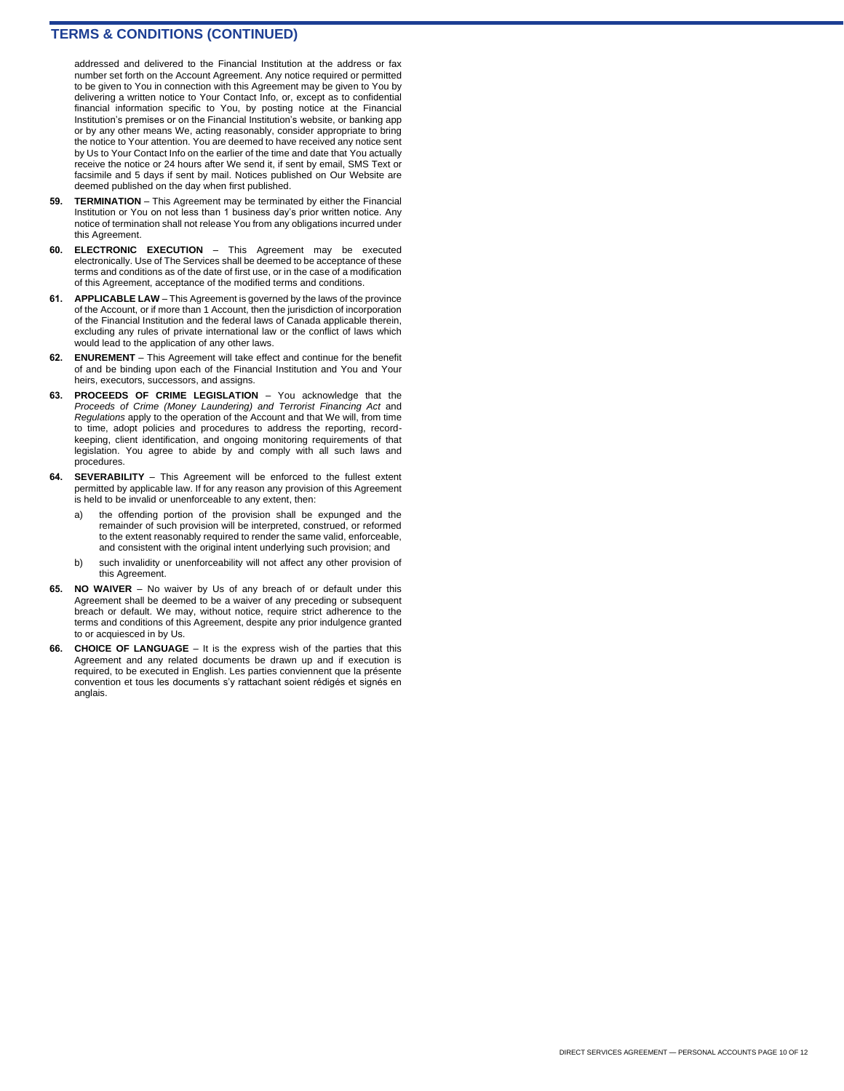addressed and delivered to the Financial Institution at the address or fax number set forth on the Account Agreement. Any notice required or permitted to be given to You in connection with this Agreement may be given to You by delivering a written notice to Your Contact Info, or, except as to confidential financial information specific to You, by posting notice at the Financial Institution's premises or on the Financial Institution's website, or banking app or by any other means We, acting reasonably, consider appropriate to bring the notice to Your attention. You are deemed to have received any notice sent by Us to Your Contact Info on the earlier of the time and date that You actually receive the notice or 24 hours after We send it, if sent by email, SMS Text or facsimile and 5 days if sent by mail. Notices published on Our Website are deemed published on the day when first published.

- **59. TERMINATION**  This Agreement may be terminated by either the Financial Institution or You on not less than 1 business day's prior written notice. Any notice of termination shall not release You from any obligations incurred under this Agreement.
- **60. ELECTRONIC EXECUTION**  This Agreement may be executed electronically. Use of The Services shall be deemed to be acceptance of these terms and conditions as of the date of first use, or in the case of a modification of this Agreement, acceptance of the modified terms and conditions.
- **61. APPLICABLE LAW**  This Agreement is governed by the laws of the province of the Account, or if more than 1 Account, then the jurisdiction of incorporation of the Financial Institution and the federal laws of Canada applicable therein, excluding any rules of private international law or the conflict of laws which would lead to the application of any other laws.
- **62. ENUREMENT**  This Agreement will take effect and continue for the benefit of and be binding upon each of the Financial Institution and You and Your heirs, executors, successors, and assigns.
- **63. PROCEEDS OF CRIME LEGISLATION**  You acknowledge that the *Proceeds of Crime (Money Laundering) and Terrorist Financing Act* and *Regulations* apply to the operation of the Account and that We will, from time to time, adopt policies and procedures to address the reporting, recordkeeping, client identification, and ongoing monitoring requirements of that legislation. You agree to abide by and comply with all such laws and procedures.
- **64. SEVERABILITY**  This Agreement will be enforced to the fullest extent permitted by applicable law. If for any reason any provision of this Agreement is held to be invalid or unenforceable to any extent, then:
	- a) the offending portion of the provision shall be expunged and the remainder of such provision will be interpreted, construed, or reformed to the extent reasonably required to render the same valid, enforceable, and consistent with the original intent underlying such provision; and
	- b) such invalidity or unenforceability will not affect any other provision of this Agreement.
- **65. NO WAIVER**  No waiver by Us of any breach of or default under this Agreement shall be deemed to be a waiver of any preceding or subsequent breach or default. We may, without notice, require strict adherence to the terms and conditions of this Agreement, despite any prior indulgence granted to or acquiesced in by Us.
- **66. CHOICE OF LANGUAGE** It is the express wish of the parties that this Agreement and any related documents be drawn up and if execution is required, to be executed in English. Les parties conviennent que la présente convention et tous les documents s'y rattachant soient rédigés et signés en anglais.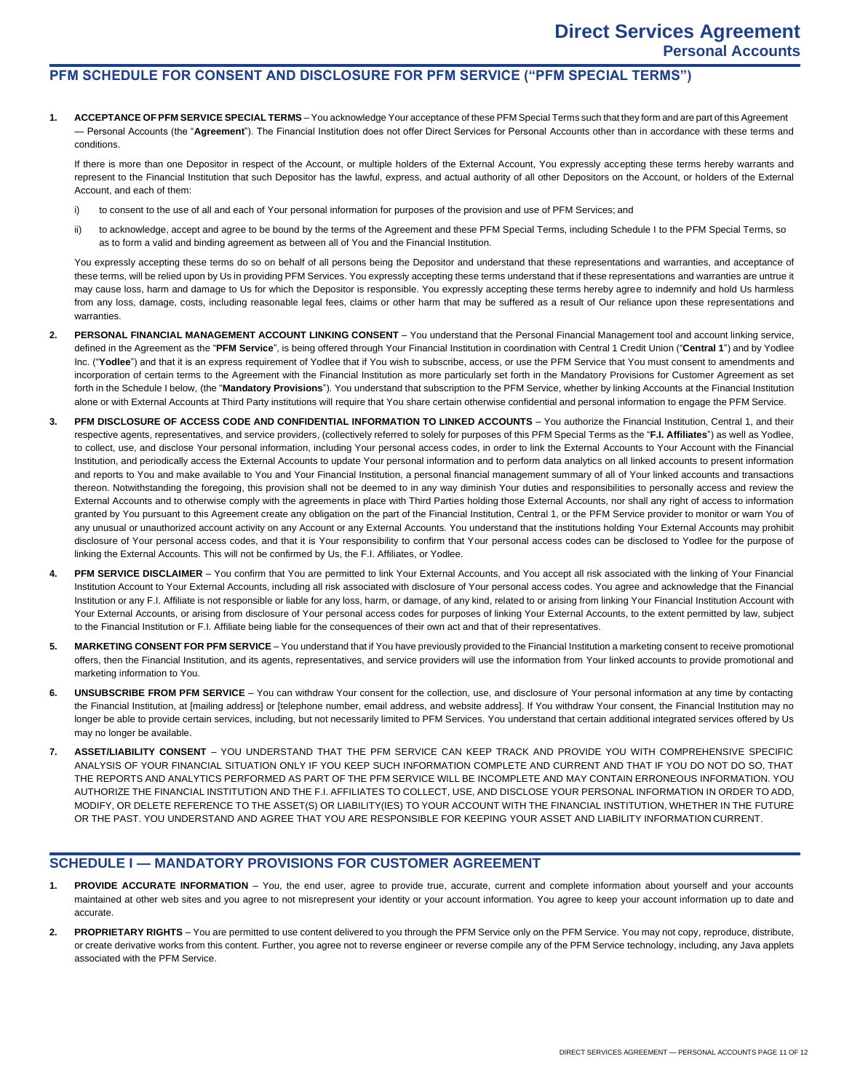## **PFM SCHEDULE FOR CONSENT AND DISCLOSURE FOR PFM SERVICE ("PFM SPECIAL TERMS")**

**1. ACCEPTANCE OFPFM SERVICE SPECIAL TERMS** – You acknowledge Your acceptance of these PFM Special Terms such that they form and are part of this Agreement — Personal Accounts (the "**Agreement**"). The Financial Institution does not offer Direct Services for Personal Accounts other than in accordance with these terms and conditions.

If there is more than one Depositor in respect of the Account, or multiple holders of the External Account, You expressly accepting these terms hereby warrants and represent to the Financial Institution that such Depositor has the lawful, express, and actual authority of all other Depositors on the Account, or holders of the External Account, and each of them:

- i) to consent to the use of all and each of Your personal information for purposes of the provision and use of PFM Services; and
- ii) to acknowledge, accept and agree to be bound by the terms of the Agreement and these PFM Special Terms, including Schedule I to the PFM Special Terms, so as to form a valid and binding agreement as between all of You and the Financial Institution.

You expressly accepting these terms do so on behalf of all persons being the Depositor and understand that these representations and warranties, and acceptance of these terms, will be relied upon by Us in providing PFM Services. You expressly accepting these terms understand that if these representations and warranties are untrue it may cause loss, harm and damage to Us for which the Depositor is responsible. You expressly accepting these terms hereby agree to indemnify and hold Us harmless from any loss, damage, costs, including reasonable legal fees, claims or other harm that may be suffered as a result of Our reliance upon these representations and warranties.

- **2. PERSONAL FINANCIAL MANAGEMENT ACCOUNT LINKING CONSENT**  You understand that the Personal Financial Management tool and account linking service, defined in the Agreement as the "**PFM Service**", is being offered through Your Financial Institution in coordination with Central 1 Credit Union ("**Central 1**") and by Yodlee Inc. ("Yodlee") and that it is an express requirement of Yodlee that if You wish to subscribe, access, or use the PFM Service that You must consent to amendments and incorporation of certain terms to the Agreement with the Financial Institution as more particularly set forth in the Mandatory Provisions for Customer Agreement as set forth in the Schedule I below, (the "**Mandatory Provisions**"). You understand that subscription to the PFM Service, whether by linking Accounts at the Financial Institution alone or with External Accounts at Third Party institutions will require that You share certain otherwise confidential and personal information to engage the PFM Service.
- **3. PFM DISCLOSURE OF ACCESS CODE AND CONFIDENTIAL INFORMATION TO LINKED ACCOUNTS**  You authorize the Financial Institution, Central 1, and their respective agents, representatives, and service providers, (collectively referred to solely for purposes of this PFM Special Terms as the "**F.I. Affiliates**") as well as Yodlee, to collect, use, and disclose Your personal information, including Your personal access codes, in order to link the External Accounts to Your Account with the Financial Institution, and periodically access the External Accounts to update Your personal information and to perform data analytics on all linked accounts to present information and reports to You and make available to You and Your Financial Institution, a personal financial management summary of all of Your linked accounts and transactions thereon. Notwithstanding the foregoing, this provision shall not be deemed to in any way diminish Your duties and responsibilities to personally access and review the External Accounts and to otherwise comply with the agreements in place with Third Parties holding those External Accounts, nor shall any right of access to information granted by You pursuant to this Agreement create any obligation on the part of the Financial Institution, Central 1, or the PFM Service provider to monitor or warn You of any unusual or unauthorized account activity on any Account or any External Accounts. You understand that the institutions holding Your External Accounts may prohibit disclosure of Your personal access codes, and that it is Your responsibility to confirm that Your personal access codes can be disclosed to Yodlee for the purpose of linking the External Accounts. This will not be confirmed by Us, the F.I. Affiliates, or Yodlee.
- 4. **PFM SERVICE DISCLAIMER** You confirm that You are permitted to link Your External Accounts, and You accept all risk associated with the linking of Your Financial Institution Account to Your External Accounts, including all risk associated with disclosure of Your personal access codes. You agree and acknowledge that the Financial Institution or any F.I. Affiliate is not responsible or liable for any loss, harm, or damage, of any kind, related to or arising from linking Your Financial Institution Account with Your External Accounts, or arising from disclosure of Your personal access codes for purposes of linking Your External Accounts, to the extent permitted by law, subject to the Financial Institution or F.I. Affiliate being liable for the consequences of their own act and that of their representatives.
- **5. MARKETING CONSENT FOR PFM SERVICE** You understand that if You have previously provided to the Financial Institution a marketing consent to receive promotional offers, then the Financial Institution, and its agents, representatives, and service providers will use the information from Your linked accounts to provide promotional and marketing information to You.
- **6. UNSUBSCRIBE FROM PFM SERVICE**  You can withdraw Your consent for the collection, use, and disclosure of Your personal information at any time by contacting the Financial Institution, at [mailing address] or [telephone number, email address, and website address]. If You withdraw Your consent, the Financial Institution may no longer be able to provide certain services, including, but not necessarily limited to PFM Services. You understand that certain additional integrated services offered by Us may no longer be available.
- **7. ASSET/LIABILITY CONSENT**  YOU UNDERSTAND THAT THE PFM SERVICE CAN KEEP TRACK AND PROVIDE YOU WITH COMPREHENSIVE SPECIFIC ANALYSIS OF YOUR FINANCIAL SITUATION ONLY IF YOU KEEP SUCH INFORMATION COMPLETE AND CURRENT AND THAT IF YOU DO NOT DO SO, THAT THE REPORTS AND ANALYTICS PERFORMED AS PART OF THE PFM SERVICE WILL BE INCOMPLETE AND MAY CONTAIN ERRONEOUS INFORMATION. YOU AUTHORIZE THE FINANCIAL INSTITUTION AND THE F.I. AFFILIATES TO COLLECT, USE, AND DISCLOSE YOUR PERSONAL INFORMATION IN ORDER TO ADD, MODIFY, OR DELETE REFERENCE TO THE ASSET(S) OR LIABILITY(IES) TO YOUR ACCOUNT WITH THE FINANCIAL INSTITUTION, WHETHER IN THE FUTURE OR THE PAST. YOU UNDERSTAND AND AGREE THAT YOU ARE RESPONSIBLE FOR KEEPING YOUR ASSET AND LIABILITY INFORMATION CURRENT.

### **SCHEDULE I — MANDATORY PROVISIONS FOR CUSTOMER AGREEMENT**

- **1. PROVIDE ACCURATE INFORMATION**  You, the end user, agree to provide true, accurate, current and complete information about yourself and your accounts maintained at other web sites and you agree to not misrepresent your identity or your account information. You agree to keep your account information up to date and accurate.
- **2. PROPRIETARY RIGHTS** You are permitted to use content delivered to you through the PFM Service only on the PFM Service. You may not copy, reproduce, distribute, or create derivative works from this content. Further, you agree not to reverse engineer or reverse compile any of the PFM Service technology, including, any Java applets associated with the PFM Service.